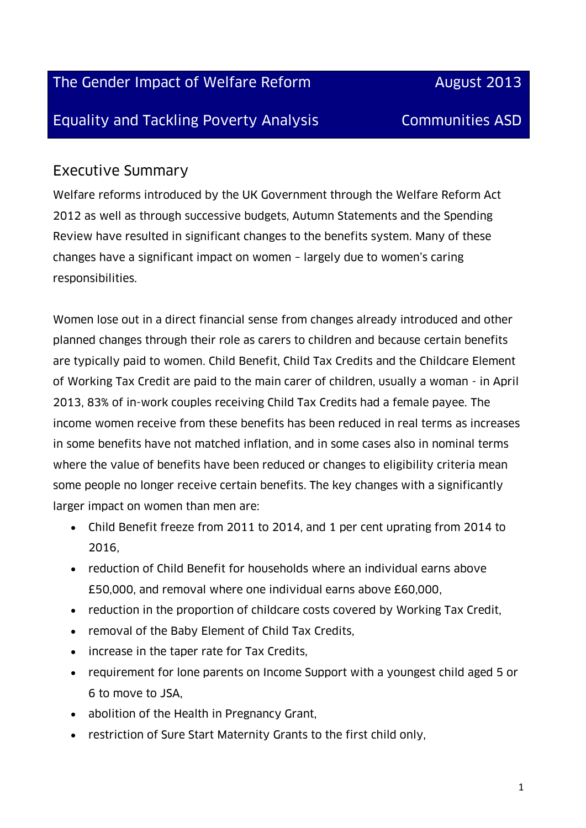The Gender Impact of Welfare Reform **August 2013** 

Equality and Tackling Poverty Analysis Communities ASD

### Executive Summary

Welfare reforms introduced by the UK Government through the Welfare Reform Act 2012 as well as through successive budgets, Autumn Statements and the Spending Review have resulted in significant changes to the benefits system. Many of these changes have a significant impact on women – largely due to women's caring responsibilities.

Women lose out in a direct financial sense from changes already introduced and other planned changes through their role as carers to children and because certain benefits are typically paid to women. Child Benefit, Child Tax Credits and the Childcare Element of Working Tax Credit are paid to the main carer of children, usually a woman - in April 2013, 83% of in-work couples receiving Child Tax Credits had a female payee. The income women receive from these benefits has been reduced in real terms as increases in some benefits have not matched inflation, and in some cases also in nominal terms where the value of benefits have been reduced or changes to eligibility criteria mean some people no longer receive certain benefits. The key changes with a significantly larger impact on women than men are:

- Child Benefit freeze from 2011 to 2014, and 1 per cent uprating from 2014 to 2016,
- reduction of Child Benefit for households where an individual earns above £50,000, and removal where one individual earns above £60,000,
- reduction in the proportion of childcare costs covered by Working Tax Credit,
- removal of the Baby Element of Child Tax Credits,
- increase in the taper rate for Tax Credits,
- requirement for lone parents on Income Support with a youngest child aged 5 or 6 to move to JSA,
- abolition of the Health in Pregnancy Grant,
- restriction of Sure Start Maternity Grants to the first child only,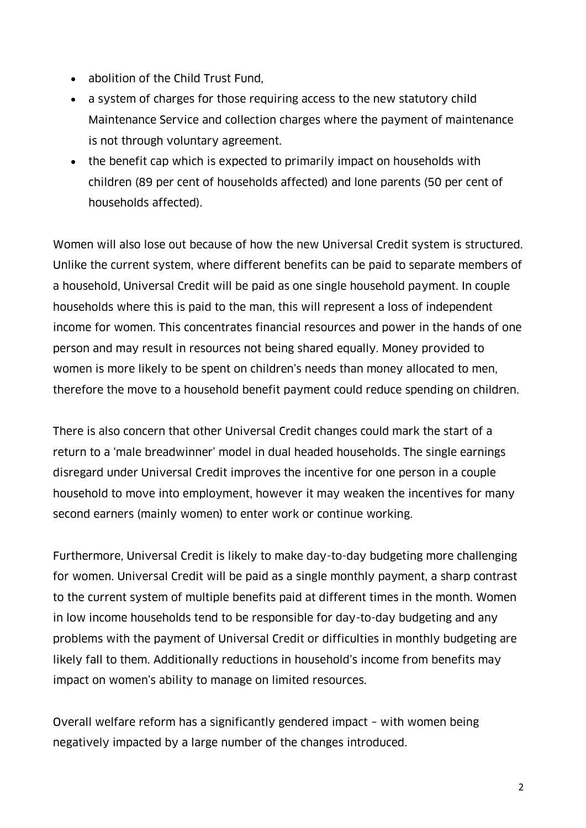- abolition of the Child Trust Fund,
- a system of charges for those requiring access to the new statutory child Maintenance Service and collection charges where the payment of maintenance is not through voluntary agreement.
- the benefit cap which is expected to primarily impact on households with children (89 per cent of households affected) and lone parents (50 per cent of households affected).

Women will also lose out because of how the new Universal Credit system is structured. Unlike the current system, where different benefits can be paid to separate members of a household, Universal Credit will be paid as one single household payment. In couple households where this is paid to the man, this will represent a loss of independent income for women. This concentrates financial resources and power in the hands of one person and may result in resources not being shared equally. Money provided to women is more likely to be spent on children's needs than money allocated to men, therefore the move to a household benefit payment could reduce spending on children.

There is also concern that other Universal Credit changes could mark the start of a return to a 'male breadwinner' model in dual headed households. The single earnings disregard under Universal Credit improves the incentive for one person in a couple household to move into employment, however it may weaken the incentives for many second earners (mainly women) to enter work or continue working.

Furthermore, Universal Credit is likely to make day-to-day budgeting more challenging for women. Universal Credit will be paid as a single monthly payment, a sharp contrast to the current system of multiple benefits paid at different times in the month. Women in low income households tend to be responsible for day-to-day budgeting and any problems with the payment of Universal Credit or difficulties in monthly budgeting are likely fall to them. Additionally reductions in household's income from benefits may impact on women's ability to manage on limited resources.

Overall welfare reform has a significantly gendered impact – with women being negatively impacted by a large number of the changes introduced.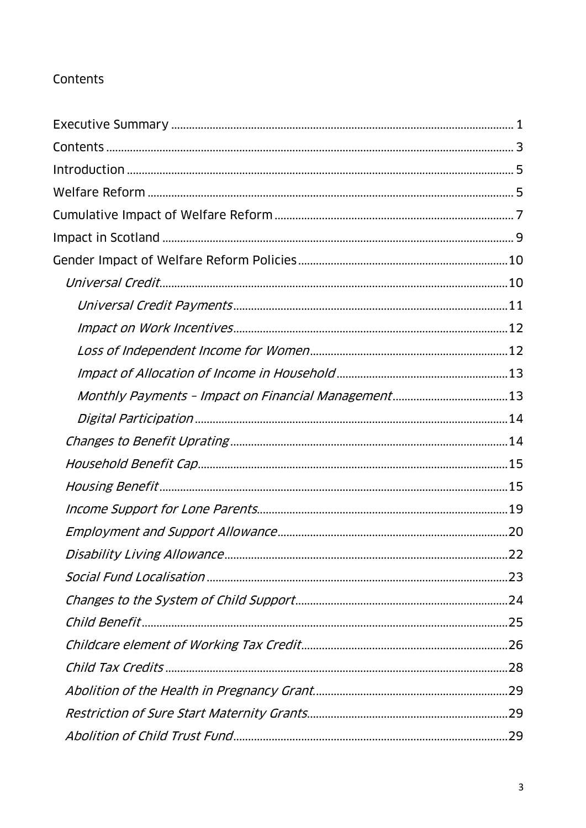#### Contents

| Disability Living Allowance. | .22 |
|------------------------------|-----|
|                              |     |
|                              |     |
|                              |     |
|                              |     |
|                              |     |
|                              |     |
|                              |     |
|                              |     |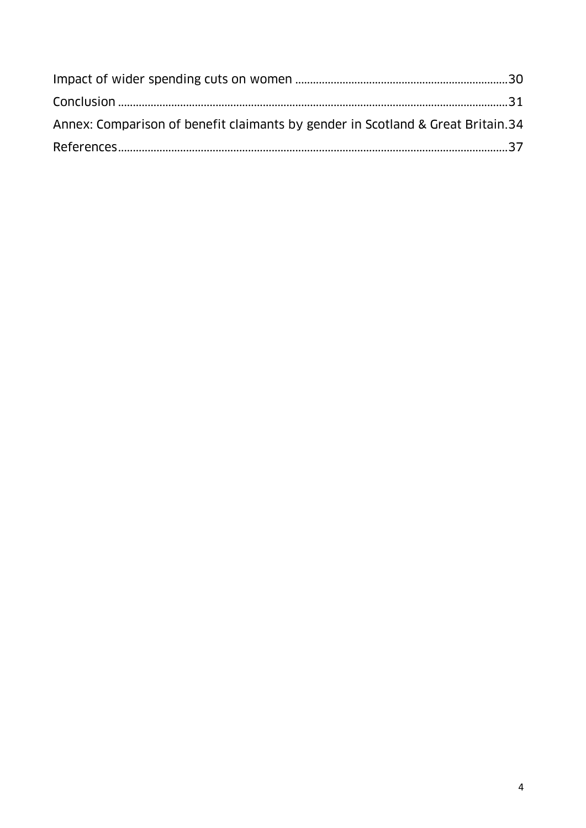| Annex: Comparison of benefit claimants by gender in Scotland & Great Britain.34 |  |
|---------------------------------------------------------------------------------|--|
|                                                                                 |  |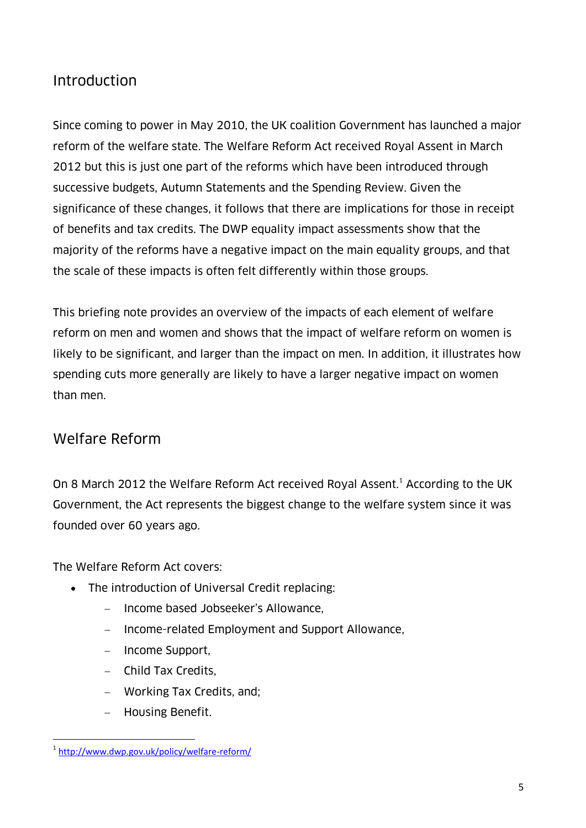### Introduction

Since coming to power in May 2010, the UK coalition Government has launched a major reform of the welfare state. The Welfare Reform Act received Royal Assent in March 2012 but this is just one part of the reforms which have been introduced through successive budgets, Autumn Statements and the Spending Review. Given the significance of these changes, it follows that there are implications for those in receipt of benefits and tax credits. The DWP equality impact assessments show that the majority of the reforms have a negative impact on the main equality groups, and that the scale of these impacts is often felt differently within those groups.

This briefing note provides an overview of the impacts of each element of welfare reform on men and women and shows that the impact of welfare reform on women is likely to be significant, and larger than the impact on men. In addition, it illustrates how spending cuts more generally are likely to have a larger negative impact on women than men.

### Welfare Reform

On 8 March 2012 the Welfare Reform Act received Royal Assent.<sup>1</sup> According to the UK Government, the Act represents the biggest change to the welfare system since it was founded over 60 years ago.

The Welfare Reform Act covers:

- The introduction of Universal Credit replacing:
	- Income based Jobseeker's Allowance,
	- Income-related Employment and Support Allowance,
	- Income Support,
	- Child Tax Credits.
	- Working Tax Credits, and;
	- Housing Benefit.

 $\overline{a}$ 1 <http://www.dwp.gov.uk/policy/welfare-reform/>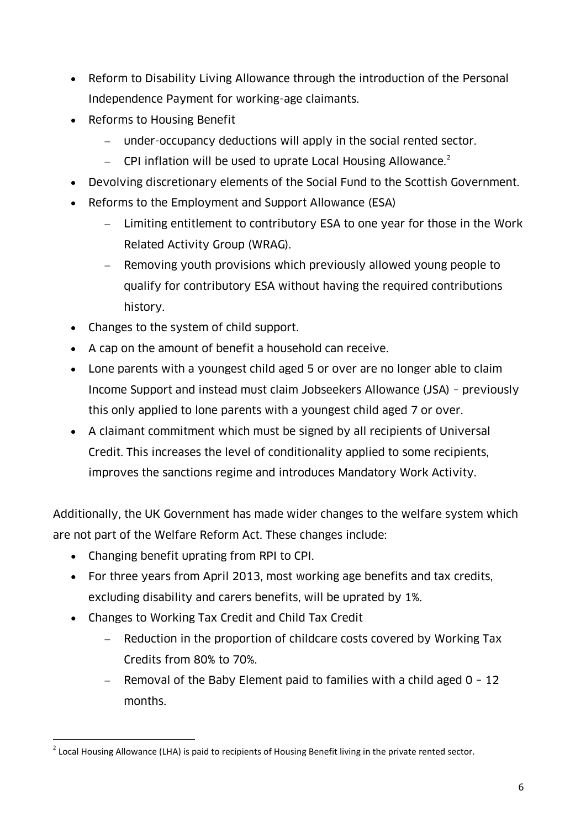- Reform to Disability Living Allowance through the introduction of the Personal Independence Payment for working-age claimants.
- Reforms to Housing Benefit
	- under-occupancy deductions will apply in the social rented sector.
	- $\sim$  CPI inflation will be used to uprate Local Housing Allowance.<sup>2</sup>
- Devolving discretionary elements of the Social Fund to the Scottish Government.
- Reforms to the Employment and Support Allowance (ESA)
	- Limiting entitlement to contributory ESA to one year for those in the Work Related Activity Group (WRAG).
	- Removing youth provisions which previously allowed young people to qualify for contributory ESA without having the required contributions history.
- Changes to the system of child support.
- A cap on the amount of benefit a household can receive.
- Lone parents with a youngest child aged 5 or over are no longer able to claim Income Support and instead must claim Jobseekers Allowance (JSA) – previously this only applied to lone parents with a youngest child aged 7 or over.
- A claimant commitment which must be signed by all recipients of Universal Credit. This increases the level of conditionality applied to some recipients, improves the sanctions regime and introduces Mandatory Work Activity.

Additionally, the UK Government has made wider changes to the welfare system which are not part of the Welfare Reform Act. These changes include:

- Changing benefit uprating from RPI to CPI.
- For three years from April 2013, most working age benefits and tax credits, excluding disability and carers benefits, will be uprated by 1%.
- Changes to Working Tax Credit and Child Tax Credit
	- Reduction in the proportion of childcare costs covered by Working Tax Credits from 80% to 70%.
	- Removal of the Baby Element paid to families with a child aged  $0 12$ months.

 $\overline{a}$ <sup>2</sup> Local Housing Allowance (LHA) is paid to recipients of Housing Benefit living in the private rented sector.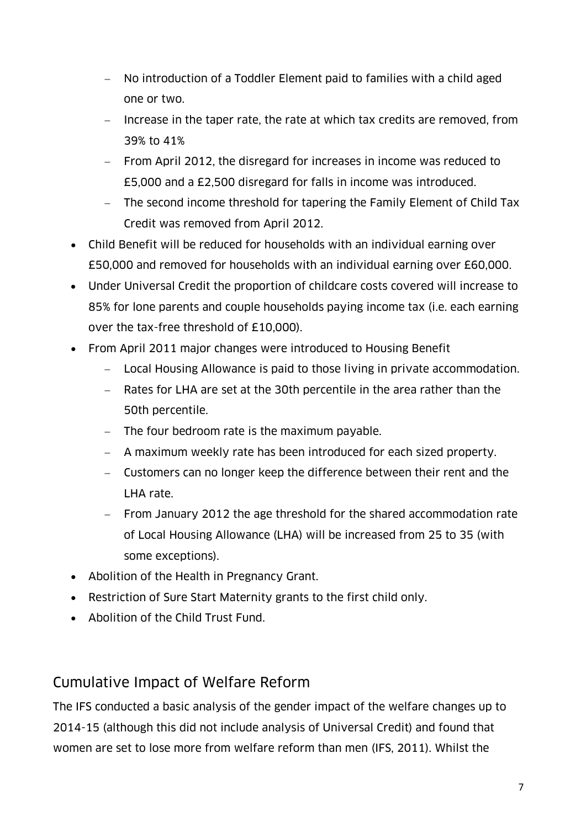- No introduction of a Toddler Element paid to families with a child aged one or two.
- Increase in the taper rate, the rate at which tax credits are removed, from 39% to 41%
- From April 2012, the disregard for increases in income was reduced to £5,000 and a £2,500 disregard for falls in income was introduced.
- The second income threshold for tapering the Family Element of Child Tax Credit was removed from April 2012.
- Child Benefit will be reduced for households with an individual earning over £50,000 and removed for households with an individual earning over £60,000.
- Under Universal Credit the proportion of childcare costs covered will increase to 85% for lone parents and couple households paying income tax (i.e. each earning over the tax-free threshold of £10,000).
- From April 2011 major changes were introduced to Housing Benefit
	- Local Housing Allowance is paid to those living in private accommodation.
	- Rates for LHA are set at the 30th percentile in the area rather than the 50th percentile.
	- The four bedroom rate is the maximum payable.
	- A maximum weekly rate has been introduced for each sized property.
	- Customers can no longer keep the difference between their rent and the LHA rate.
	- From January 2012 the age threshold for the shared accommodation rate of Local Housing Allowance (LHA) will be increased from 25 to 35 (with some exceptions).
- Abolition of the Health in Pregnancy Grant.
- Restriction of Sure Start Maternity grants to the first child only.
- Abolition of the Child Trust Fund.

#### Cumulative Impact of Welfare Reform

The IFS conducted a basic analysis of the gender impact of the welfare changes up to 2014-15 (although this did not include analysis of Universal Credit) and found that women are set to lose more from welfare reform than men (IFS, 2011). Whilst the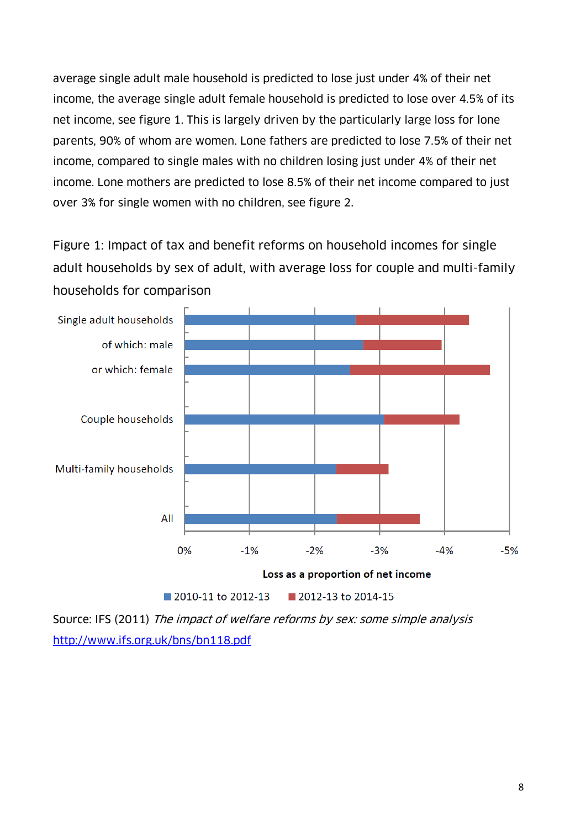average single adult male household is predicted to lose just under 4% of their net income, the average single adult female household is predicted to lose over 4.5% of its net income, see figure 1. This is largely driven by the particularly large loss for lone parents, 90% of whom are women. Lone fathers are predicted to lose 7.5% of their net income, compared to single males with no children losing just under 4% of their net income. Lone mothers are predicted to lose 8.5% of their net income compared to just over 3% for single women with no children, see figure 2.

Figure 1: Impact of tax and benefit reforms on household incomes for single adult households by sex of adult, with average loss for couple and multi-family households for comparison



Source: IFS (2011) The impact of welfare reforms by sex: some simple analysis <http://www.ifs.org.uk/bns/bn118.pdf>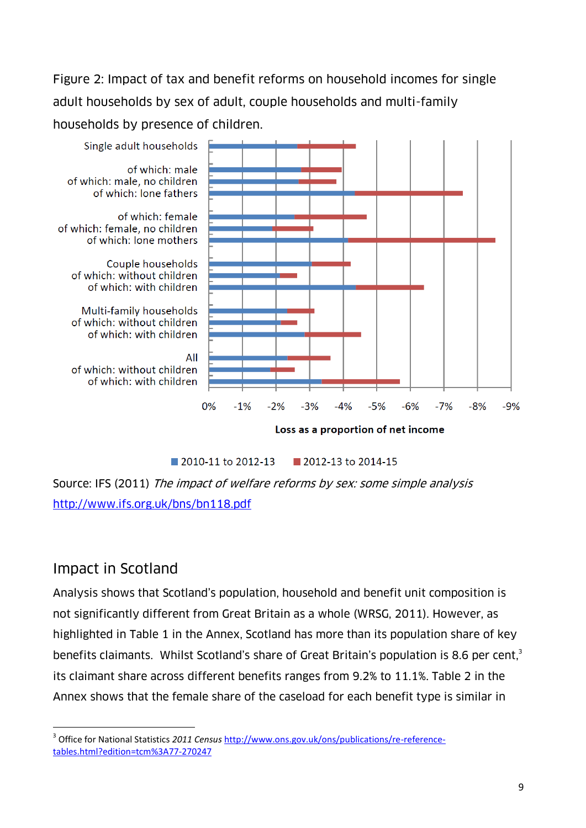Figure 2: Impact of tax and benefit reforms on household incomes for single adult households by sex of adult, couple households and multi-family households by presence of children.



 $\blacksquare$  2010-11 to 2012-13 2012-13 to 2014-15

Source: IFS (2011) The impact of welfare reforms by sex: some simple analysis <http://www.ifs.org.uk/bns/bn118.pdf>

### Impact in Scotland

Analysis shows that Scotland's population, household and benefit unit composition is not significantly different from Great Britain as a whole (WRSG, 2011). However, as highlighted in Table 1 in the Annex, Scotland has more than its population share of key benefits claimants. Whilst Scotland's share of Great Britain's population is 8.6 per cent,<sup>3</sup> its claimant share across different benefits ranges from 9.2% to 11.1%. Table 2 in the Annex shows that the female share of the caseload for each benefit type is similar in

 $\overline{a}$ 3 Office for National Statistics *2011 Census* [http://www.ons.gov.uk/ons/publications/re-reference](http://www.ons.gov.uk/ons/publications/re-reference-tables.html?edition=tcm%3A77-270247)[tables.html?edition=tcm%3A77-270247](http://www.ons.gov.uk/ons/publications/re-reference-tables.html?edition=tcm%3A77-270247)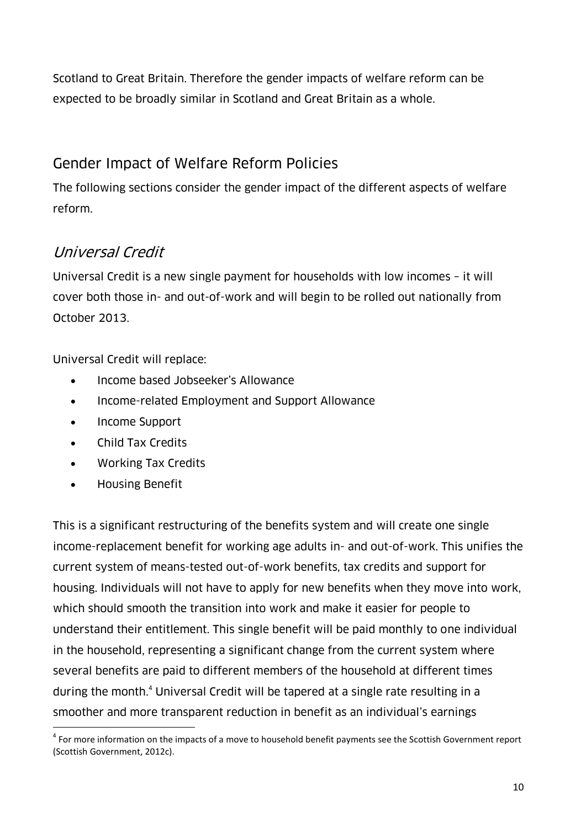Scotland to Great Britain. Therefore the gender impacts of welfare reform can be expected to be broadly similar in Scotland and Great Britain as a whole.

# Gender Impact of Welfare Reform Policies

The following sections consider the gender impact of the different aspects of welfare reform.

# Universal Credit

Universal Credit is a new single payment for households with low incomes – it will cover both those in- and out-of-work and will begin to be rolled out nationally from October 2013.

Universal Credit will replace:

- Income based Jobseeker's Allowance
- Income-related Employment and Support Allowance
- Income Support
- Child Tax Credits
- Working Tax Credits
- Housing Benefit

This is a significant restructuring of the benefits system and will create one single income-replacement benefit for working age adults in- and out-of-work. This unifies the current system of means-tested out-of-work benefits, tax credits and support for housing. Individuals will not have to apply for new benefits when they move into work, which should smooth the transition into work and make it easier for people to understand their entitlement. This single benefit will be paid monthly to one individual in the household, representing a significant change from the current system where several benefits are paid to different members of the household at different times during the month.<sup>4</sup> Universal Credit will be tapered at a single rate resulting in a smoother and more transparent reduction in benefit as an individual's earnings

 $\overline{a}$ <sup>4</sup> For more information on the impacts of a move to household benefit payments see the Scottish Government report (Scottish Government, 2012c).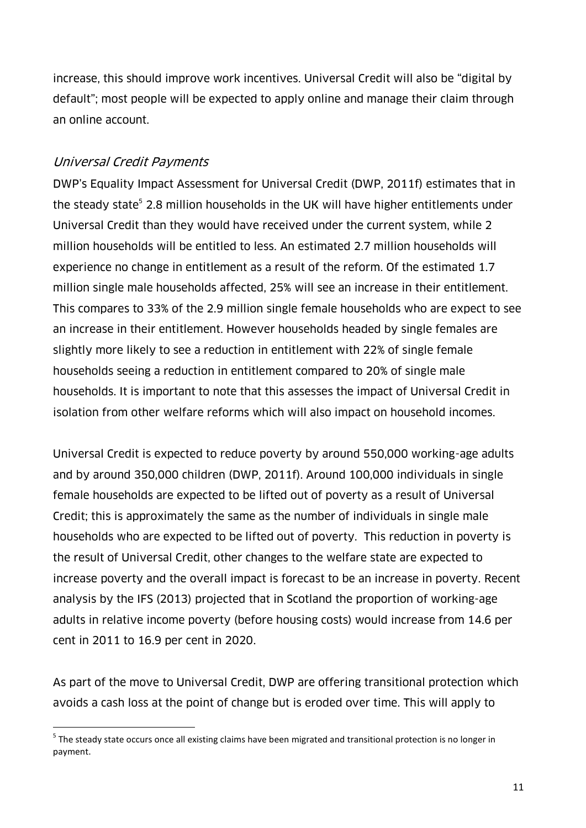increase, this should improve work incentives. Universal Credit will also be "digital by default"; most people will be expected to apply online and manage their claim through an online account.

#### Universal Credit Payments

 $\overline{a}$ 

DWP's Equality Impact Assessment for Universal Credit (DWP, 2011f) estimates that in the steady state<sup>5</sup> 2.8 million households in the UK will have higher entitlements under Universal Credit than they would have received under the current system, while 2 million households will be entitled to less. An estimated 2.7 million households will experience no change in entitlement as a result of the reform. Of the estimated 1.7 million single male households affected, 25% will see an increase in their entitlement. This compares to 33% of the 2.9 million single female households who are expect to see an increase in their entitlement. However households headed by single females are slightly more likely to see a reduction in entitlement with 22% of single female households seeing a reduction in entitlement compared to 20% of single male households. It is important to note that this assesses the impact of Universal Credit in isolation from other welfare reforms which will also impact on household incomes.

Universal Credit is expected to reduce poverty by around 550,000 working-age adults and by around 350,000 children (DWP, 2011f). Around 100,000 individuals in single female households are expected to be lifted out of poverty as a result of Universal Credit; this is approximately the same as the number of individuals in single male households who are expected to be lifted out of poverty. This reduction in poverty is the result of Universal Credit, other changes to the welfare state are expected to increase poverty and the overall impact is forecast to be an increase in poverty. Recent analysis by the IFS (2013) projected that in Scotland the proportion of working-age adults in relative income poverty (before housing costs) would increase from 14.6 per cent in 2011 to 16.9 per cent in 2020.

As part of the move to Universal Credit, DWP are offering transitional protection which avoids a cash loss at the point of change but is eroded over time. This will apply to

<sup>&</sup>lt;sup>5</sup> The steady state occurs once all existing claims have been migrated and transitional protection is no longer in payment.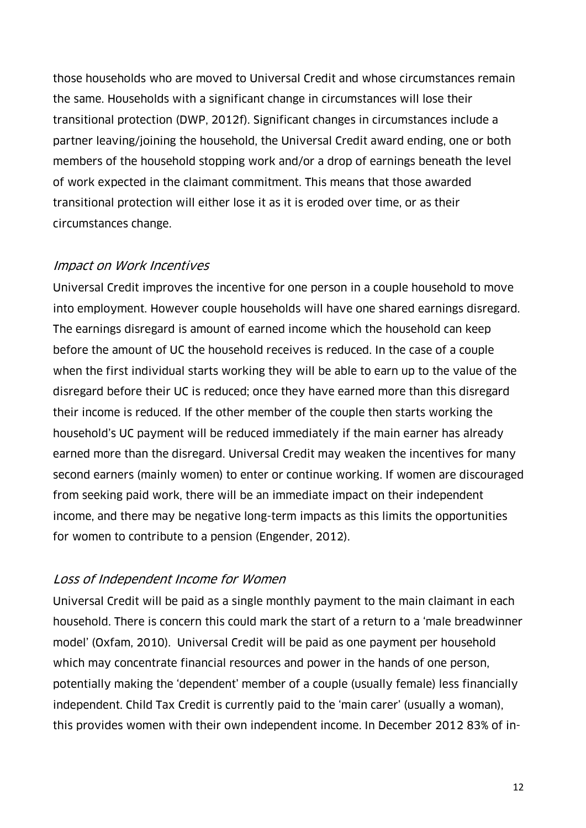those households who are moved to Universal Credit and whose circumstances remain the same. Households with a significant change in circumstances will lose their transitional protection (DWP, 2012f). Significant changes in circumstances include a partner leaving/joining the household, the Universal Credit award ending, one or both members of the household stopping work and/or a drop of earnings beneath the level of work expected in the claimant commitment. This means that those awarded transitional protection will either lose it as it is eroded over time, or as their circumstances change.

#### Impact on Work Incentives

Universal Credit improves the incentive for one person in a couple household to move into employment. However couple households will have one shared earnings disregard. The earnings disregard is amount of earned income which the household can keep before the amount of UC the household receives is reduced. In the case of a couple when the first individual starts working they will be able to earn up to the value of the disregard before their UC is reduced; once they have earned more than this disregard their income is reduced. If the other member of the couple then starts working the household's UC payment will be reduced immediately if the main earner has already earned more than the disregard. Universal Credit may weaken the incentives for many second earners (mainly women) to enter or continue working. If women are discouraged from seeking paid work, there will be an immediate impact on their independent income, and there may be negative long-term impacts as this limits the opportunities for women to contribute to a pension (Engender, 2012).

#### Loss of Independent Income for Women

Universal Credit will be paid as a single monthly payment to the main claimant in each household. There is concern this could mark the start of a return to a 'male breadwinner model' (Oxfam, 2010). Universal Credit will be paid as one payment per household which may concentrate financial resources and power in the hands of one person, potentially making the 'dependent' member of a couple (usually female) less financially independent. Child Tax Credit is currently paid to the 'main carer' (usually a woman), this provides women with their own independent income. In December 2012 83% of in-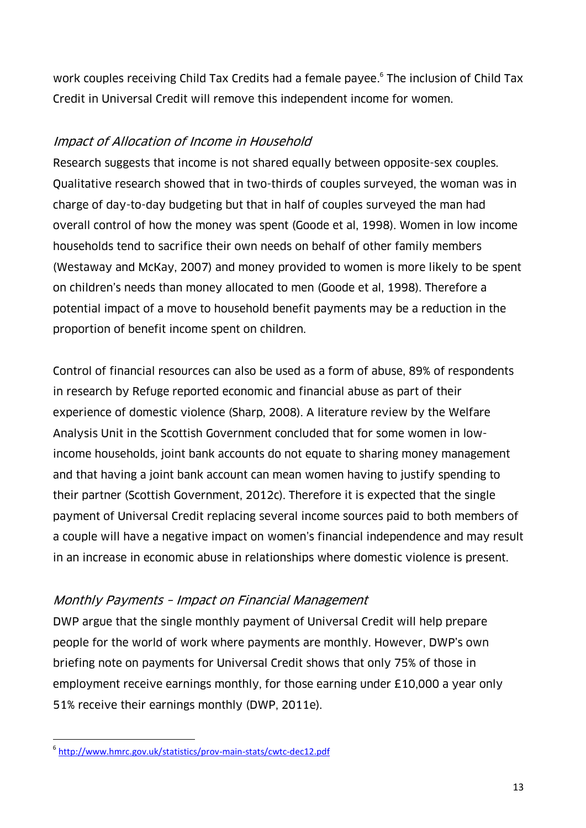work couples receiving Child Tax Credits had a female payee. 6 The inclusion of Child Tax Credit in Universal Credit will remove this independent income for women.

#### Impact of Allocation of Income in Household

Research suggests that income is not shared equally between opposite-sex couples. Qualitative research showed that in two-thirds of couples surveyed, the woman was in charge of day-to-day budgeting but that in half of couples surveyed the man had overall control of how the money was spent (Goode et al, 1998). Women in low income households tend to sacrifice their own needs on behalf of other family members (Westaway and McKay, 2007) and money provided to women is more likely to be spent on children's needs than money allocated to men (Goode et al, 1998). Therefore a potential impact of a move to household benefit payments may be a reduction in the proportion of benefit income spent on children.

Control of financial resources can also be used as a form of abuse, 89% of respondents in research by Refuge reported economic and financial abuse as part of their experience of domestic violence (Sharp, 2008). A literature review by the Welfare Analysis Unit in the Scottish Government concluded that for some women in lowincome households, joint bank accounts do not equate to sharing money management and that having a joint bank account can mean women having to justify spending to their partner (Scottish Government, 2012c). Therefore it is expected that the single payment of Universal Credit replacing several income sources paid to both members of a couple will have a negative impact on women's financial independence and may result in an increase in economic abuse in relationships where domestic violence is present.

#### Monthly Payments – Impact on Financial Management

DWP argue that the single monthly payment of Universal Credit will help prepare people for the world of work where payments are monthly. However, DWP's own briefing note on payments for Universal Credit shows that only 75% of those in employment receive earnings monthly, for those earning under £10,000 a year only 51% receive their earnings monthly (DWP, 2011e).

 $\overline{a}$ 6 <http://www.hmrc.gov.uk/statistics/prov-main-stats/cwtc-dec12.pdf>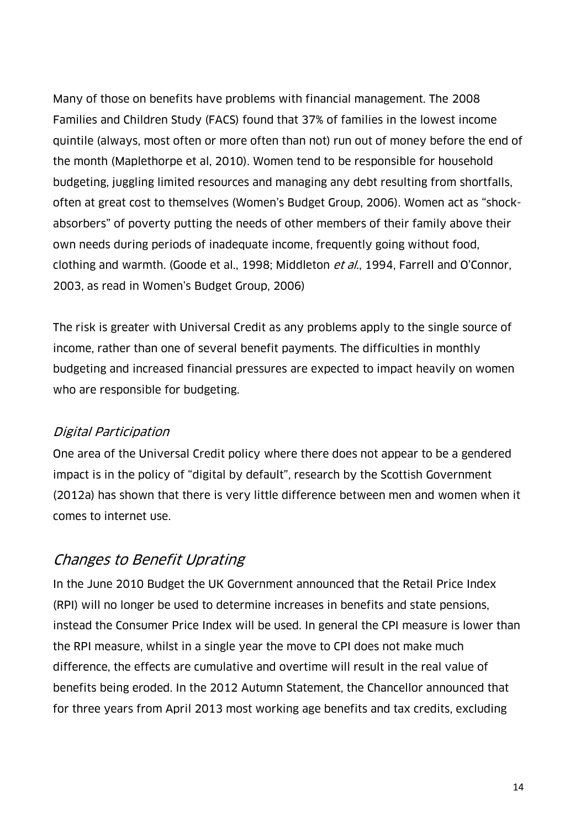Many of those on benefits have problems with financial management. The 2008 Families and Children Study (FACS) found that 37% of families in the lowest income quintile (always, most often or more often than not) run out of money before the end of the month (Maplethorpe et al, 2010). Women tend to be responsible for household budgeting, juggling limited resources and managing any debt resulting from shortfalls, often at great cost to themselves (Women's Budget Group, 2006). Women act as "shockabsorbers" of poverty putting the needs of other members of their family above their own needs during periods of inadequate income, frequently going without food, clothing and warmth. (Goode et al., 1998; Middleton et al., 1994, Farrell and O'Connor, 2003, as read in Women's Budget Group, 2006)

The risk is greater with Universal Credit as any problems apply to the single source of income, rather than one of several benefit payments. The difficulties in monthly budgeting and increased financial pressures are expected to impact heavily on women who are responsible for budgeting.

#### Digital Participation

One area of the Universal Credit policy where there does not appear to be a gendered impact is in the policy of "digital by default", research by the Scottish Government (2012a) has shown that there is very little difference between men and women when it comes to internet use.

### Changes to Benefit Uprating

In the June 2010 Budget the UK Government announced that the Retail Price Index (RPI) will no longer be used to determine increases in benefits and state pensions, instead the Consumer Price Index will be used. In general the CPI measure is lower than the RPI measure, whilst in a single year the move to CPI does not make much difference, the effects are cumulative and overtime will result in the real value of benefits being eroded. In the 2012 Autumn Statement, the Chancellor announced that for three years from April 2013 most working age benefits and tax credits, excluding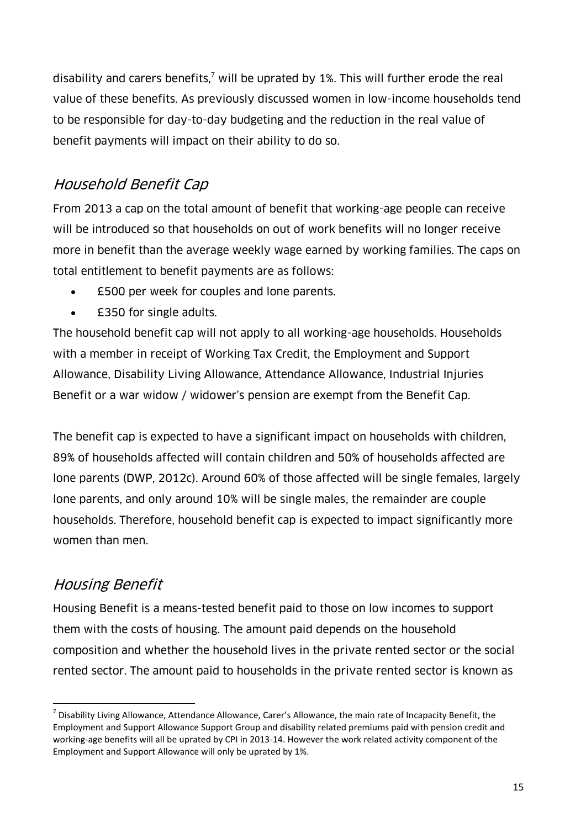disability and carers benefits,<sup>7</sup> will be uprated by 1%. This will further erode the real value of these benefits. As previously discussed women in low-income households tend to be responsible for day-to-day budgeting and the reduction in the real value of benefit payments will impact on their ability to do so.

# Household Benefit Cap

From 2013 a cap on the total amount of benefit that working-age people can receive will be introduced so that households on out of work benefits will no longer receive more in benefit than the average weekly wage earned by working families. The caps on total entitlement to benefit payments are as follows:

- £500 per week for couples and lone parents.
- £350 for single adults.

The household benefit cap will not apply to all working-age households. Households with a member in receipt of Working Tax Credit, the Employment and Support Allowance, Disability Living Allowance, Attendance Allowance, Industrial Injuries Benefit or a war widow / widower's pension are exempt from the Benefit Cap.

The benefit cap is expected to have a significant impact on households with children, 89% of households affected will contain children and 50% of households affected are lone parents (DWP, 2012c). Around 60% of those affected will be single females, largely lone parents, and only around 10% will be single males, the remainder are couple households. Therefore, household benefit cap is expected to impact significantly more women than men.

### Housing Benefit

 $\overline{a}$ 

Housing Benefit is a means-tested benefit paid to those on low incomes to support them with the costs of housing. The amount paid depends on the household composition and whether the household lives in the private rented sector or the social rented sector. The amount paid to households in the private rented sector is known as

 $^7$  Disability Living Allowance, Attendance Allowance, Carer's Allowance, the main rate of Incapacity Benefit, the Employment and Support Allowance Support Group and disability related premiums paid with pension credit and working-age benefits will all be uprated by CPI in 2013-14. However the work related activity component of the Employment and Support Allowance will only be uprated by 1%.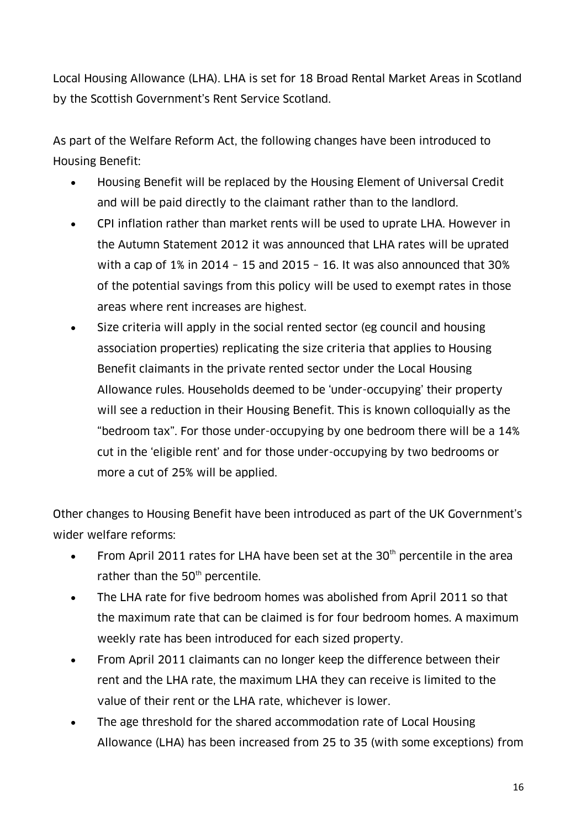Local Housing Allowance (LHA). LHA is set for 18 Broad Rental Market Areas in Scotland by the Scottish Government's Rent Service Scotland.

As part of the Welfare Reform Act, the following changes have been introduced to Housing Benefit:

- Housing Benefit will be replaced by the Housing Element of Universal Credit and will be paid directly to the claimant rather than to the landlord.
- CPI inflation rather than market rents will be used to uprate LHA. However in the Autumn Statement 2012 it was announced that LHA rates will be uprated with a cap of 1% in 2014 – 15 and 2015 – 16. It was also announced that 30% of the potential savings from this policy will be used to exempt rates in those areas where rent increases are highest.
- Size criteria will apply in the social rented sector (eg council and housing association properties) replicating the size criteria that applies to Housing Benefit claimants in the private rented sector under the Local Housing Allowance rules. Households deemed to be 'under-occupying' their property will see a reduction in their Housing Benefit. This is known colloquially as the "bedroom tax". For those under-occupying by one bedroom there will be a 14% cut in the 'eligible rent' and for those under-occupying by two bedrooms or more a cut of 25% will be applied.

Other changes to Housing Benefit have been introduced as part of the UK Government's wider welfare reforms:

- From April 2011 rates for LHA have been set at the  $30<sup>th</sup>$  percentile in the area rather than the  $50<sup>th</sup>$  percentile.
- The LHA rate for five bedroom homes was abolished from April 2011 so that the maximum rate that can be claimed is for four bedroom homes. A maximum weekly rate has been introduced for each sized property.
- From April 2011 claimants can no longer keep the difference between their rent and the LHA rate, the maximum LHA they can receive is limited to the value of their rent or the LHA rate, whichever is lower.
- The age threshold for the shared accommodation rate of Local Housing Allowance (LHA) has been increased from 25 to 35 (with some exceptions) from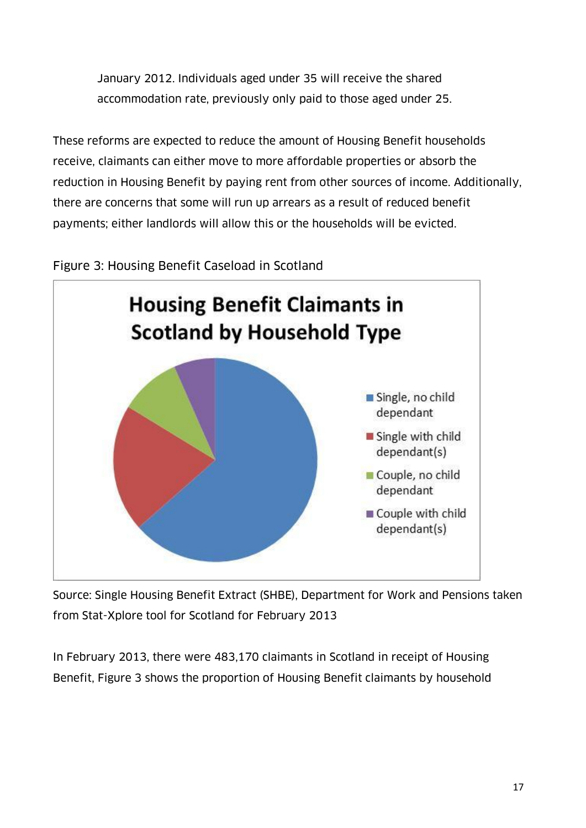January 2012. Individuals aged under 35 will receive the shared accommodation rate, previously only paid to those aged under 25.

These reforms are expected to reduce the amount of Housing Benefit households receive, claimants can either move to more affordable properties or absorb the reduction in Housing Benefit by paying rent from other sources of income. Additionally, there are concerns that some will run up arrears as a result of reduced benefit payments; either landlords will allow this or the households will be evicted.



#### Figure 3: Housing Benefit Caseload in Scotland

Source: Single Housing Benefit Extract (SHBE), Department for Work and Pensions taken from Stat-Xplore tool for Scotland for February 2013

In February 2013, there were 483,170 claimants in Scotland in receipt of Housing Benefit, Figure 3 shows the proportion of Housing Benefit claimants by household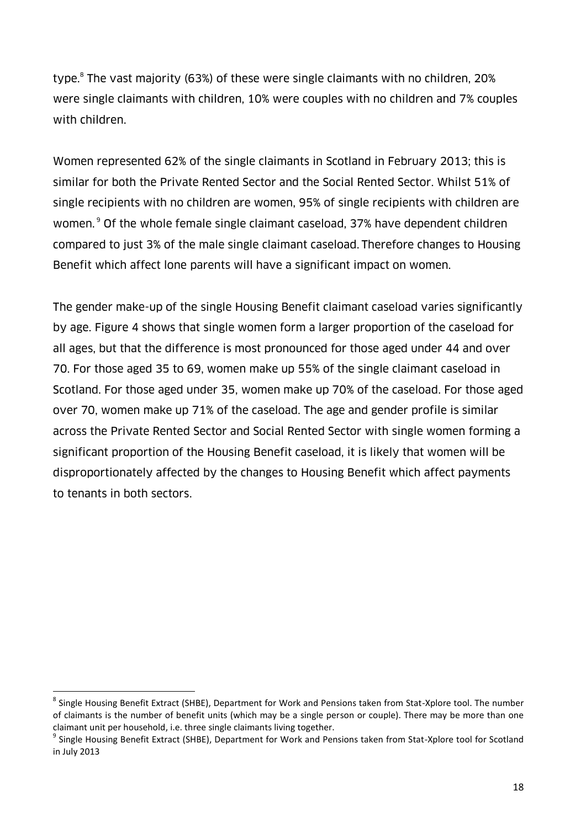type.<sup>8</sup> The vast majority (63%) of these were single claimants with no children, 20% were single claimants with children, 10% were couples with no children and 7% couples with children.

Women represented 62% of the single claimants in Scotland in February 2013; this is similar for both the Private Rented Sector and the Social Rented Sector. Whilst 51% of single recipients with no children are women, 95% of single recipients with children are women.<sup>9</sup> Of the whole female single claimant caseload, 37% have dependent children compared to just 3% of the male single claimant caseload. Therefore changes to Housing Benefit which affect lone parents will have a significant impact on women.

The gender make-up of the single Housing Benefit claimant caseload varies significantly by age. Figure 4 shows that single women form a larger proportion of the caseload for all ages, but that the difference is most pronounced for those aged under 44 and over 70. For those aged 35 to 69, women make up 55% of the single claimant caseload in Scotland. For those aged under 35, women make up 70% of the caseload. For those aged over 70, women make up 71% of the caseload. The age and gender profile is similar across the Private Rented Sector and Social Rented Sector with single women forming a significant proportion of the Housing Benefit caseload, it is likely that women will be disproportionately affected by the changes to Housing Benefit which affect payments to tenants in both sectors.

 $\overline{a}$ 

<sup>&</sup>lt;sup>8</sup> Single Housing Benefit Extract (SHBE), Department for Work and Pensions taken from Stat-Xplore tool. The number of claimants is the number of benefit units (which may be a single person or couple). There may be more than one claimant unit per household, i.e. three single claimants living together.

<sup>&</sup>lt;sup>9</sup> Single Housing Benefit Extract (SHBE), Department for Work and Pensions taken from Stat-Xplore tool for Scotland in July 2013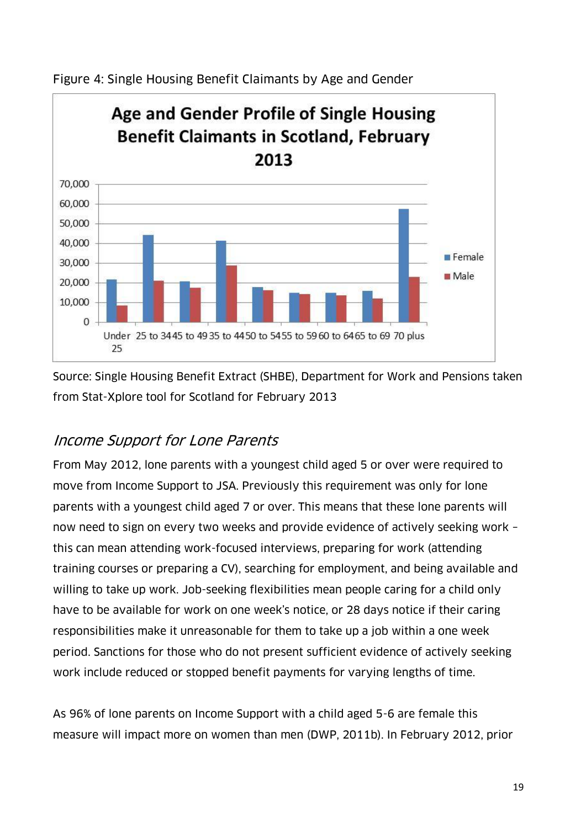

Figure 4: Single Housing Benefit Claimants by Age and Gender

Source: Single Housing Benefit Extract (SHBE), Department for Work and Pensions taken from Stat-Xplore tool for Scotland for February 2013

# Income Support for Lone Parents

From May 2012, lone parents with a youngest child aged 5 or over were required to move from Income Support to JSA. Previously this requirement was only for lone parents with a youngest child aged 7 or over. This means that these lone parents will now need to sign on every two weeks and provide evidence of actively seeking work – this can mean attending work-focused interviews, preparing for work (attending training courses or preparing a CV), searching for employment, and being available and willing to take up work. Job-seeking flexibilities mean people caring for a child only have to be available for work on one week's notice, or 28 days notice if their caring responsibilities make it unreasonable for them to take up a job within a one week period. Sanctions for those who do not present sufficient evidence of actively seeking work include reduced or stopped benefit payments for varying lengths of time.

As 96% of lone parents on Income Support with a child aged 5-6 are female this measure will impact more on women than men (DWP, 2011b). In February 2012, prior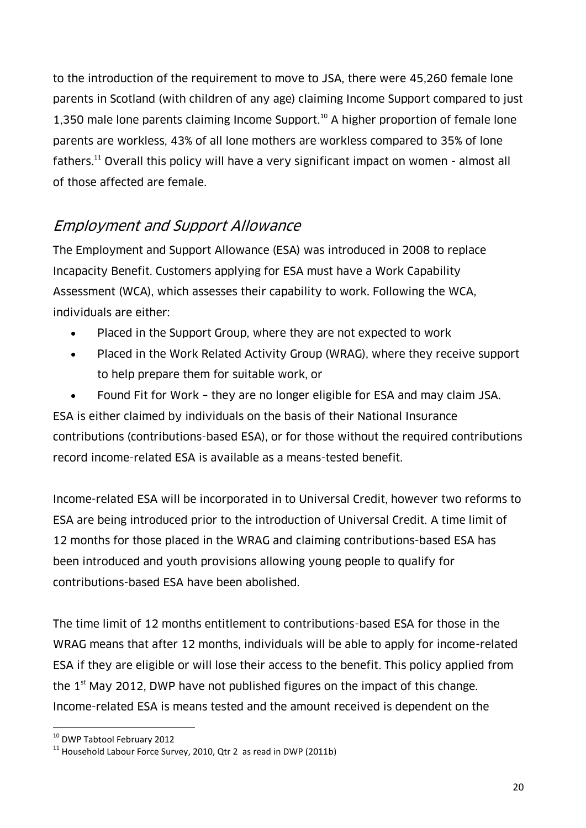to the introduction of the requirement to move to JSA, there were 45,260 female lone parents in Scotland (with children of any age) claiming Income Support compared to just 1,350 male lone parents claiming Income Support. <sup>10</sup> A higher proportion of female lone parents are workless, 43% of all lone mothers are workless compared to 35% of lone fathers.<sup>11</sup> Overall this policy will have a very significant impact on women - almost all of those affected are female.

### Employment and Support Allowance

The Employment and Support Allowance (ESA) was introduced in 2008 to replace Incapacity Benefit. Customers applying for ESA must have a Work Capability Assessment (WCA), which assesses their capability to work. Following the WCA, individuals are either:

- Placed in the Support Group, where they are not expected to work
- Placed in the Work Related Activity Group (WRAG), where they receive support to help prepare them for suitable work, or

 Found Fit for Work – they are no longer eligible for ESA and may claim JSA. ESA is either claimed by individuals on the basis of their National Insurance contributions (contributions-based ESA), or for those without the required contributions record income-related ESA is available as a means-tested benefit.

Income-related ESA will be incorporated in to Universal Credit, however two reforms to ESA are being introduced prior to the introduction of Universal Credit. A time limit of 12 months for those placed in the WRAG and claiming contributions-based ESA has been introduced and youth provisions allowing young people to qualify for contributions-based ESA have been abolished.

The time limit of 12 months entitlement to contributions-based ESA for those in the WRAG means that after 12 months, individuals will be able to apply for income-related ESA if they are eligible or will lose their access to the benefit. This policy applied from the  $1<sup>st</sup>$  May 2012, DWP have not published figures on the impact of this change. Income-related ESA is means tested and the amount received is dependent on the

 $\overline{a}$ <sup>10</sup> DWP Tabtool February 2012

 $11$  Household Labour Force Survey, 2010, Qtr 2 as read in DWP (2011b)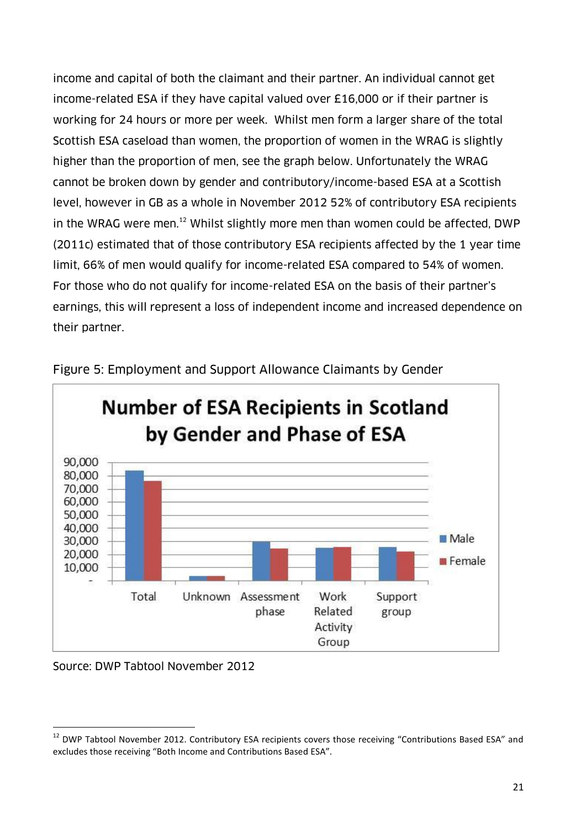income and capital of both the claimant and their partner. An individual cannot get income-related ESA if they have capital valued over £16,000 or if their partner is working for 24 hours or more per week. Whilst men form a larger share of the total Scottish ESA caseload than women, the proportion of women in the WRAG is slightly higher than the proportion of men, see the graph below. Unfortunately the WRAG cannot be broken down by gender and contributory/income-based ESA at a Scottish level, however in GB as a whole in November 2012 52% of contributory ESA recipients in the WRAG were men.<sup>12</sup> Whilst slightly more men than women could be affected, DWP (2011c) estimated that of those contributory ESA recipients affected by the 1 year time limit, 66% of men would qualify for income-related ESA compared to 54% of women. For those who do not qualify for income-related ESA on the basis of their partner's earnings, this will represent a loss of independent income and increased dependence on their partner.



Figure 5: Employment and Support Allowance Claimants by Gender

#### Source: DWP Tabtool November 2012

 $\overline{a}$ 

<sup>&</sup>lt;sup>12</sup> DWP Tabtool November 2012. Contributory ESA recipients covers those receiving "Contributions Based ESA" and excludes those receiving "Both Income and Contributions Based ESA".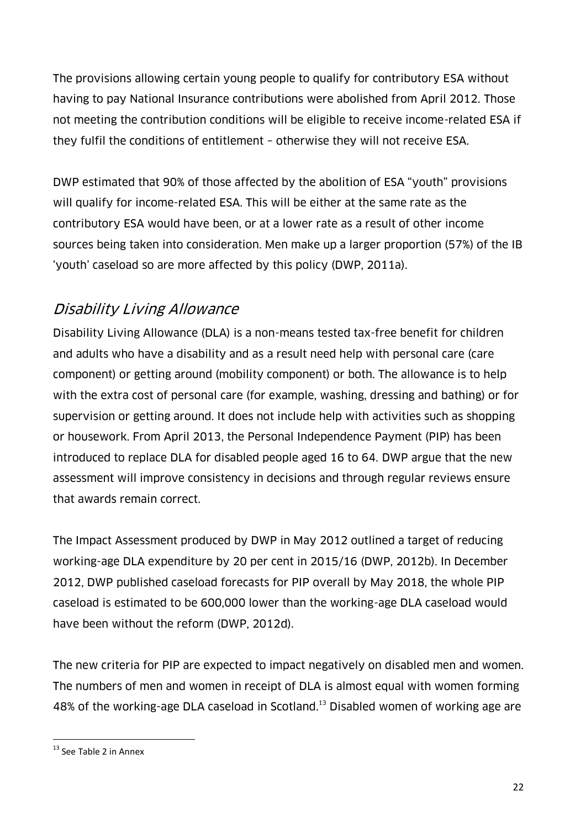The provisions allowing certain young people to qualify for contributory ESA without having to pay National Insurance contributions were abolished from April 2012. Those not meeting the contribution conditions will be eligible to receive income-related ESA if they fulfil the conditions of entitlement – otherwise they will not receive ESA.

DWP estimated that 90% of those affected by the abolition of ESA "youth" provisions will qualify for income-related ESA. This will be either at the same rate as the contributory ESA would have been, or at a lower rate as a result of other income sources being taken into consideration. Men make up a larger proportion (57%) of the IB 'youth' caseload so are more affected by this policy (DWP, 2011a).

# Disability Living Allowance

Disability Living Allowance (DLA) is a non-means tested tax-free benefit for children and adults who have a disability and as a result need help with personal care (care component) or getting around (mobility component) or both. The allowance is to help with the extra cost of personal care (for example, washing, dressing and bathing) or for supervision or getting around. It does not include help with activities such as shopping or housework. From April 2013, the Personal Independence Payment (PIP) has been introduced to replace DLA for disabled people aged 16 to 64. DWP argue that the new assessment will improve consistency in decisions and through regular reviews ensure that awards remain correct.

The Impact Assessment produced by DWP in May 2012 outlined a target of reducing working-age DLA expenditure by 20 per cent in 2015/16 (DWP, 2012b). In December 2012, DWP published caseload forecasts for PIP overall by May 2018, the whole PIP caseload is estimated to be 600,000 lower than the working-age DLA caseload would have been without the reform (DWP, 2012d).

The new criteria for PIP are expected to impact negatively on disabled men and women. The numbers of men and women in receipt of DLA is almost equal with women forming 48% of the working-age DLA caseload in Scotland. <sup>13</sup> Disabled women of working age are

 $\overline{a}$ 

<sup>&</sup>lt;sup>13</sup> See Table 2 in Annex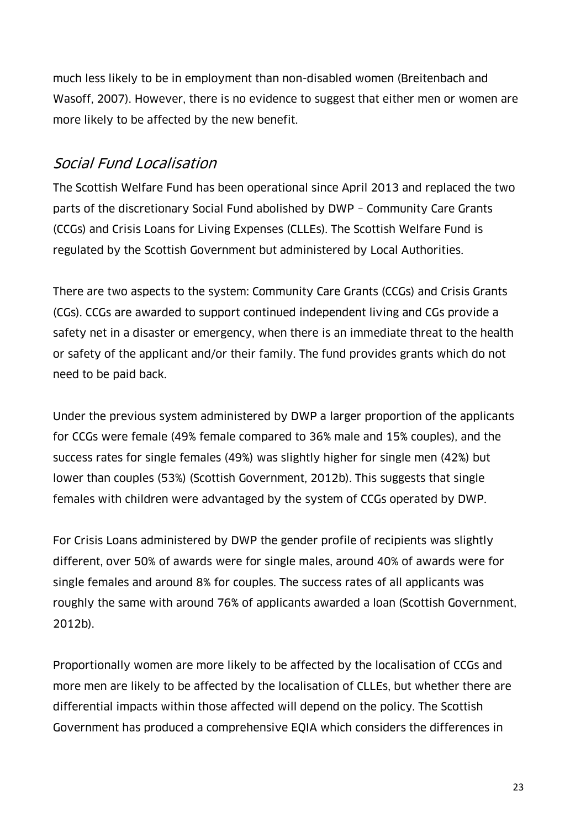much less likely to be in employment than non-disabled women (Breitenbach and Wasoff, 2007). However, there is no evidence to suggest that either men or women are more likely to be affected by the new benefit.

### Social Fund Localisation

The Scottish Welfare Fund has been operational since April 2013 and replaced the two parts of the discretionary Social Fund abolished by DWP – Community Care Grants (CCGs) and Crisis Loans for Living Expenses (CLLEs). The Scottish Welfare Fund is regulated by the Scottish Government but administered by Local Authorities.

There are two aspects to the system: Community Care Grants (CCGs) and Crisis Grants (CGs). CCGs are awarded to support continued independent living and CGs provide a safety net in a disaster or emergency, when there is an immediate threat to the health or safety of the applicant and/or their family. The fund provides grants which do not need to be paid back.

Under the previous system administered by DWP a larger proportion of the applicants for CCGs were female (49% female compared to 36% male and 15% couples), and the success rates for single females (49%) was slightly higher for single men (42%) but lower than couples (53%) (Scottish Government, 2012b). This suggests that single females with children were advantaged by the system of CCGs operated by DWP.

For Crisis Loans administered by DWP the gender profile of recipients was slightly different, over 50% of awards were for single males, around 40% of awards were for single females and around 8% for couples. The success rates of all applicants was roughly the same with around 76% of applicants awarded a loan (Scottish Government, 2012b).

Proportionally women are more likely to be affected by the localisation of CCGs and more men are likely to be affected by the localisation of CLLEs, but whether there are differential impacts within those affected will depend on the policy. The Scottish Government has produced a comprehensive EQIA which considers the differences in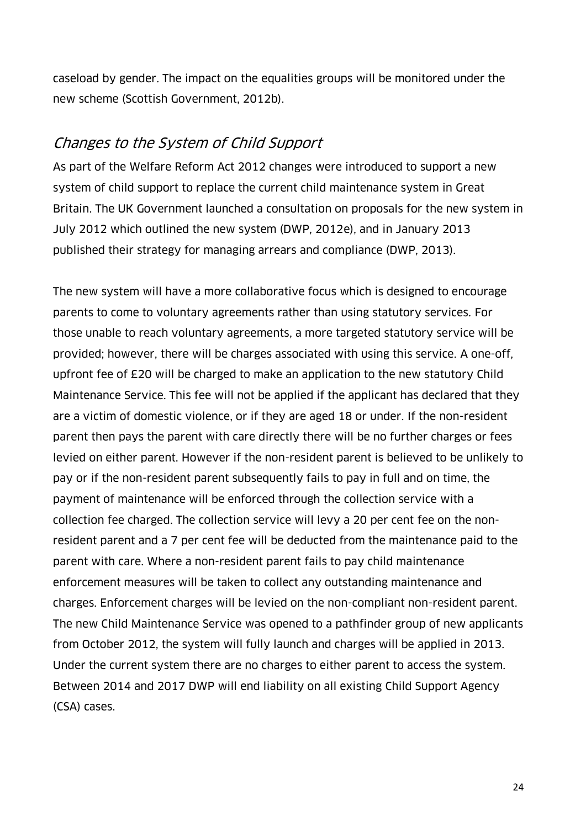caseload by gender. The impact on the equalities groups will be monitored under the new scheme (Scottish Government, 2012b).

#### Changes to the System of Child Support

As part of the Welfare Reform Act 2012 changes were introduced to support a new system of child support to replace the current child maintenance system in Great Britain. The UK Government launched a consultation on proposals for the new system in July 2012 which outlined the new system (DWP, 2012e), and in January 2013 published their strategy for managing arrears and compliance (DWP, 2013).

The new system will have a more collaborative focus which is designed to encourage parents to come to voluntary agreements rather than using statutory services. For those unable to reach voluntary agreements, a more targeted statutory service will be provided; however, there will be charges associated with using this service. A one-off, upfront fee of £20 will be charged to make an application to the new statutory Child Maintenance Service. This fee will not be applied if the applicant has declared that they are a victim of domestic violence, or if they are aged 18 or under. If the non-resident parent then pays the parent with care directly there will be no further charges or fees levied on either parent. However if the non-resident parent is believed to be unlikely to pay or if the non-resident parent subsequently fails to pay in full and on time, the payment of maintenance will be enforced through the collection service with a collection fee charged. The collection service will levy a 20 per cent fee on the nonresident parent and a 7 per cent fee will be deducted from the maintenance paid to the parent with care. Where a non-resident parent fails to pay child maintenance enforcement measures will be taken to collect any outstanding maintenance and charges. Enforcement charges will be levied on the non-compliant non-resident parent. The new Child Maintenance Service was opened to a pathfinder group of new applicants from October 2012, the system will fully launch and charges will be applied in 2013. Under the current system there are no charges to either parent to access the system. Between 2014 and 2017 DWP will end liability on all existing Child Support Agency (CSA) cases.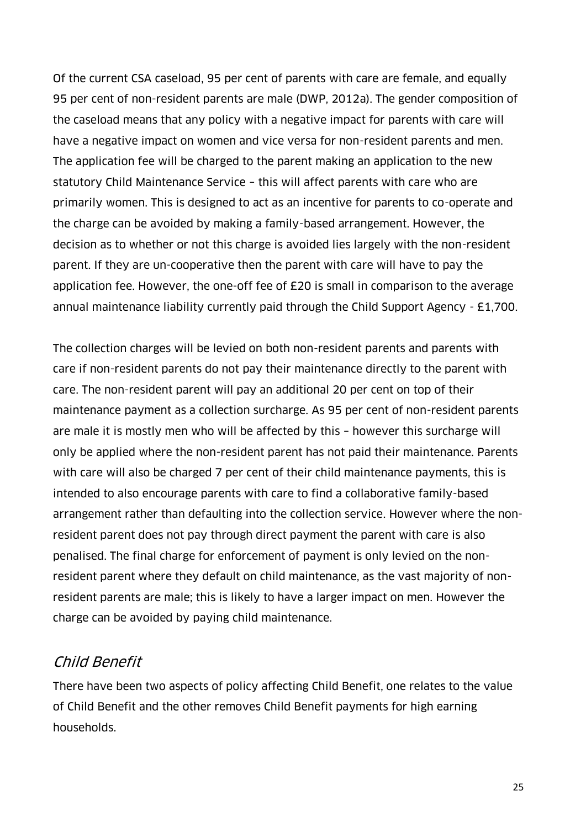Of the current CSA caseload, 95 per cent of parents with care are female, and equally 95 per cent of non-resident parents are male (DWP, 2012a). The gender composition of the caseload means that any policy with a negative impact for parents with care will have a negative impact on women and vice versa for non-resident parents and men. The application fee will be charged to the parent making an application to the new statutory Child Maintenance Service – this will affect parents with care who are primarily women. This is designed to act as an incentive for parents to co-operate and the charge can be avoided by making a family-based arrangement. However, the decision as to whether or not this charge is avoided lies largely with the non-resident parent. If they are un-cooperative then the parent with care will have to pay the application fee. However, the one-off fee of £20 is small in comparison to the average annual maintenance liability currently paid through the Child Support Agency - £1,700.

The collection charges will be levied on both non-resident parents and parents with care if non-resident parents do not pay their maintenance directly to the parent with care. The non-resident parent will pay an additional 20 per cent on top of their maintenance payment as a collection surcharge. As 95 per cent of non-resident parents are male it is mostly men who will be affected by this – however this surcharge will only be applied where the non-resident parent has not paid their maintenance. Parents with care will also be charged 7 per cent of their child maintenance payments, this is intended to also encourage parents with care to find a collaborative family-based arrangement rather than defaulting into the collection service. However where the nonresident parent does not pay through direct payment the parent with care is also penalised. The final charge for enforcement of payment is only levied on the nonresident parent where they default on child maintenance, as the vast majority of nonresident parents are male; this is likely to have a larger impact on men. However the charge can be avoided by paying child maintenance.

### Child Benefit

There have been two aspects of policy affecting Child Benefit, one relates to the value of Child Benefit and the other removes Child Benefit payments for high earning households.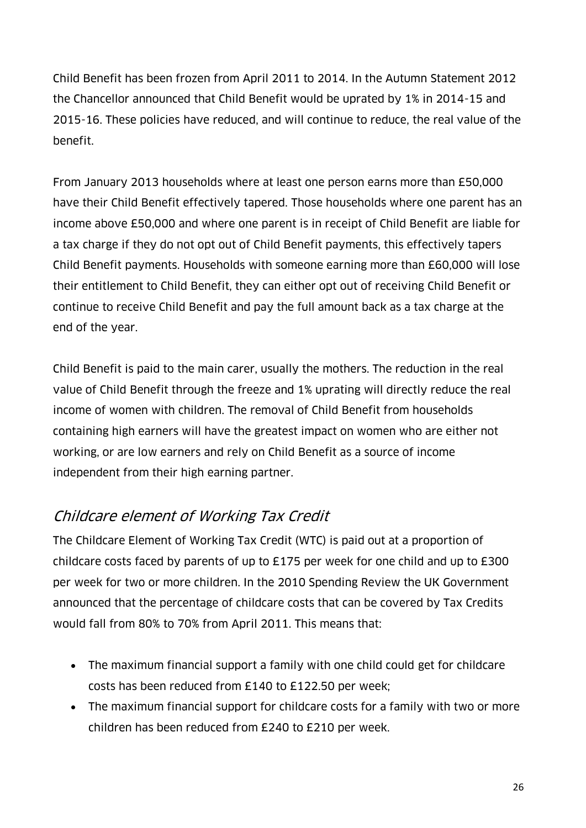Child Benefit has been frozen from April 2011 to 2014. In the Autumn Statement 2012 the Chancellor announced that Child Benefit would be uprated by 1% in 2014-15 and 2015-16. These policies have reduced, and will continue to reduce, the real value of the benefit.

From January 2013 households where at least one person earns more than £50,000 have their Child Benefit effectively tapered. Those households where one parent has an income above £50,000 and where one parent is in receipt of Child Benefit are liable for a tax charge if they do not opt out of Child Benefit payments, this effectively tapers Child Benefit payments. Households with someone earning more than £60,000 will lose their entitlement to Child Benefit, they can either opt out of receiving Child Benefit or continue to receive Child Benefit and pay the full amount back as a tax charge at the end of the year.

Child Benefit is paid to the main carer, usually the mothers. The reduction in the real value of Child Benefit through the freeze and 1% uprating will directly reduce the real income of women with children. The removal of Child Benefit from households containing high earners will have the greatest impact on women who are either not working, or are low earners and rely on Child Benefit as a source of income independent from their high earning partner.

# Childcare element of Working Tax Credit

The Childcare Element of Working Tax Credit (WTC) is paid out at a proportion of childcare costs faced by parents of up to £175 per week for one child and up to £300 per week for two or more children. In the 2010 Spending Review the UK Government announced that the percentage of childcare costs that can be covered by Tax Credits would fall from 80% to 70% from April 2011. This means that:

- The maximum financial support a family with one child could get for childcare costs has been reduced from £140 to £122.50 per week;
- The maximum financial support for childcare costs for a family with two or more children has been reduced from £240 to £210 per week.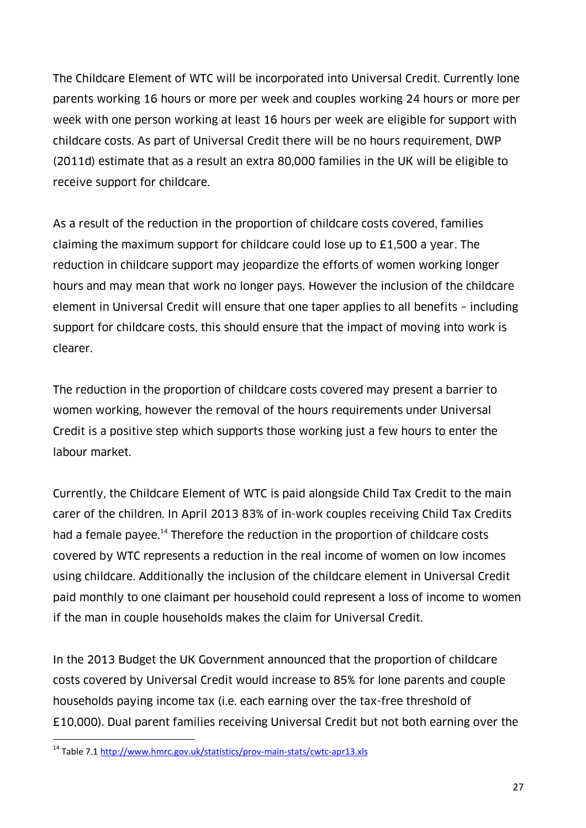The Childcare Element of WTC will be incorporated into Universal Credit. Currently lone parents working 16 hours or more per week and couples working 24 hours or more per week with one person working at least 16 hours per week are eligible for support with childcare costs. As part of Universal Credit there will be no hours requirement, DWP (2011d) estimate that as a result an extra 80,000 families in the UK will be eligible to receive support for childcare.

As a result of the reduction in the proportion of childcare costs covered, families claiming the maximum support for childcare could lose up to £1,500 a year. The reduction in childcare support may jeopardize the efforts of women working longer hours and may mean that work no longer pays. However the inclusion of the childcare element in Universal Credit will ensure that one taper applies to all benefits – including support for childcare costs, this should ensure that the impact of moving into work is clearer.

The reduction in the proportion of childcare costs covered may present a barrier to women working, however the removal of the hours requirements under Universal Credit is a positive step which supports those working just a few hours to enter the labour market.

Currently, the Childcare Element of WTC is paid alongside Child Tax Credit to the main carer of the children. In April 2013 83% of in-work couples receiving Child Tax Credits had a female payee.<sup>14</sup> Therefore the reduction in the proportion of childcare costs covered by WTC represents a reduction in the real income of women on low incomes using childcare. Additionally the inclusion of the childcare element in Universal Credit paid monthly to one claimant per household could represent a loss of income to women if the man in couple households makes the claim for Universal Credit.

In the 2013 Budget the UK Government announced that the proportion of childcare costs covered by Universal Credit would increase to 85% for lone parents and couple households paying income tax (i.e. each earning over the tax-free threshold of £10,000). Dual parent families receiving Universal Credit but not both earning over the

 $\overline{a}$ 

<sup>14</sup> Table 7.1<http://www.hmrc.gov.uk/statistics/prov-main-stats/cwtc-apr13.xls>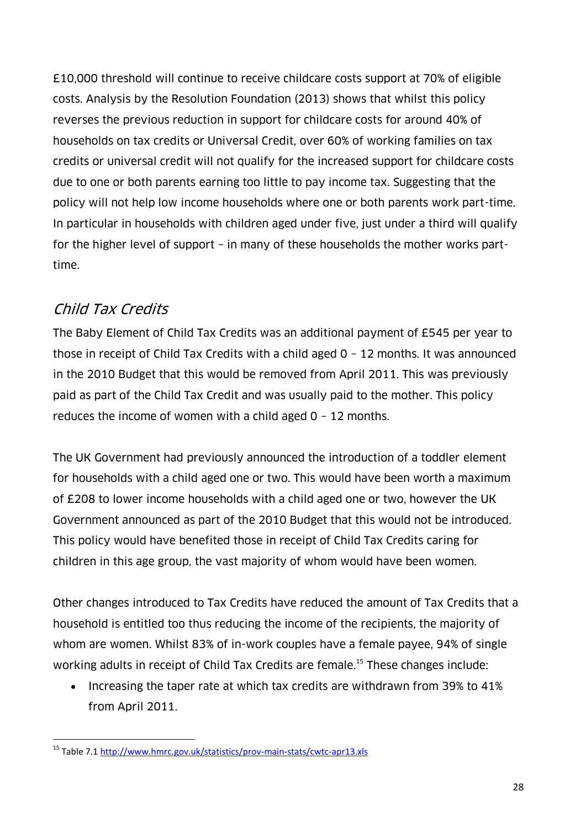£10,000 threshold will continue to receive childcare costs support at 70% of eligible costs. Analysis by the Resolution Foundation (2013) shows that whilst this policy reverses the previous reduction in support for childcare costs for around 40% of households on tax credits or Universal Credit, over 60% of working families on tax credits or universal credit will not qualify for the increased support for childcare costs due to one or both parents earning too little to pay income tax. Suggesting that the policy will not help low income households where one or both parents work part-time. In particular in households with children aged under five, just under a third will qualify for the higher level of support – in many of these households the mother works parttime.

# Child Tax Credits

 $\overline{a}$ 

The Baby Element of Child Tax Credits was an additional payment of £545 per year to those in receipt of Child Tax Credits with a child aged 0 – 12 months. It was announced in the 2010 Budget that this would be removed from April 2011. This was previously paid as part of the Child Tax Credit and was usually paid to the mother. This policy reduces the income of women with a child aged 0 – 12 months.

The UK Government had previously announced the introduction of a toddler element for households with a child aged one or two. This would have been worth a maximum of £208 to lower income households with a child aged one or two, however the UK Government announced as part of the 2010 Budget that this would not be introduced. This policy would have benefited those in receipt of Child Tax Credits caring for children in this age group, the vast majority of whom would have been women.

Other changes introduced to Tax Credits have reduced the amount of Tax Credits that a household is entitled too thus reducing the income of the recipients, the majority of whom are women. Whilst 83% of in-work couples have a female payee, 94% of single working adults in receipt of Child Tax Credits are female.<sup>15</sup> These changes include:

 Increasing the taper rate at which tax credits are withdrawn from 39% to 41% from April 2011.

<sup>15</sup> Table 7.1<http://www.hmrc.gov.uk/statistics/prov-main-stats/cwtc-apr13.xls>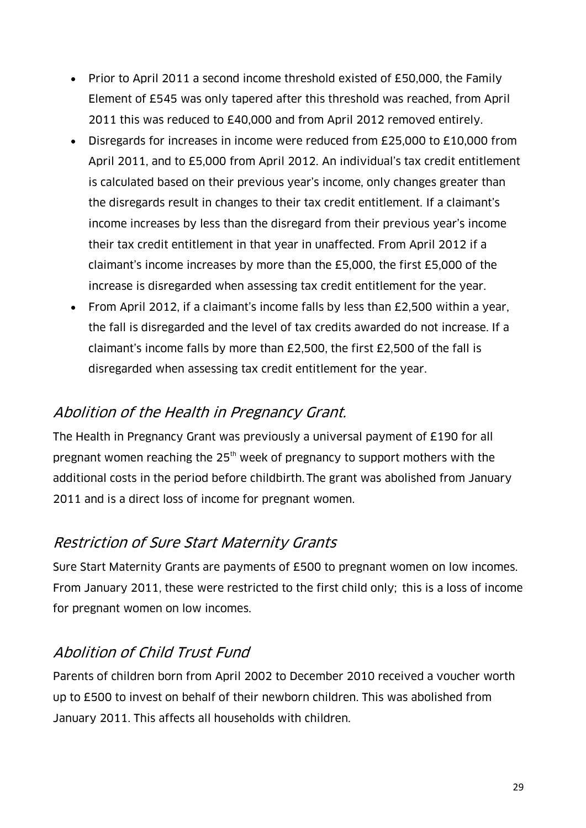- Prior to April 2011 a second income threshold existed of £50,000, the Family Element of £545 was only tapered after this threshold was reached, from April 2011 this was reduced to £40,000 and from April 2012 removed entirely.
- Disregards for increases in income were reduced from £25,000 to £10,000 from April 2011, and to £5,000 from April 2012. An individual's tax credit entitlement is calculated based on their previous year's income, only changes greater than the disregards result in changes to their tax credit entitlement. If a claimant's income increases by less than the disregard from their previous year's income their tax credit entitlement in that year in unaffected. From April 2012 if a claimant's income increases by more than the £5,000, the first £5,000 of the increase is disregarded when assessing tax credit entitlement for the year.
- From April 2012, if a claimant's income falls by less than £2,500 within a year, the fall is disregarded and the level of tax credits awarded do not increase. If a claimant's income falls by more than £2,500, the first £2,500 of the fall is disregarded when assessing tax credit entitlement for the year.

# Abolition of the Health in Pregnancy Grant.

The Health in Pregnancy Grant was previously a universal payment of £190 for all pregnant women reaching the  $25<sup>th</sup>$  week of pregnancy to support mothers with the additional costs in the period before childbirth. The grant was abolished from January 2011 and is a direct loss of income for pregnant women.

# Restriction of Sure Start Maternity Grants

Sure Start Maternity Grants are payments of £500 to pregnant women on low incomes. From January 2011, these were restricted to the first child only; this is a loss of income for pregnant women on low incomes.

# Abolition of Child Trust Fund

Parents of children born from April 2002 to December 2010 received a voucher worth up to £500 to invest on behalf of their newborn children. This was abolished from January 2011. This affects all households with children.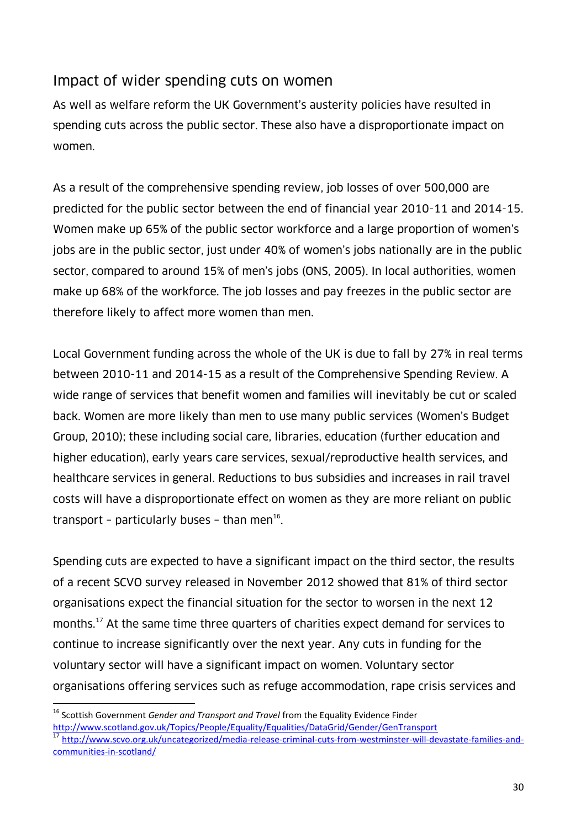#### Impact of wider spending cuts on women

As well as welfare reform the UK Government's austerity policies have resulted in spending cuts across the public sector. These also have a disproportionate impact on women.

As a result of the comprehensive spending review, job losses of over 500,000 are predicted for the public sector between the end of financial year 2010-11 and 2014-15. Women make up 65% of the public sector workforce and a large proportion of women's jobs are in the public sector, just under 40% of women's jobs nationally are in the public sector, compared to around 15% of men's jobs (ONS, 2005). In local authorities, women make up 68% of the workforce. The job losses and pay freezes in the public sector are therefore likely to affect more women than men.

Local Government funding across the whole of the UK is due to fall by 27% in real terms between 2010-11 and 2014-15 as a result of the Comprehensive Spending Review. A wide range of services that benefit women and families will inevitably be cut or scaled back. Women are more likely than men to use many public services (Women's Budget Group, 2010); these including social care, libraries, education (further education and higher education), early years care services, sexual/reproductive health services, and healthcare services in general. Reductions to bus subsidies and increases in rail travel costs will have a disproportionate effect on women as they are more reliant on public transport - particularly buses - than men $^{16}$ .

Spending cuts are expected to have a significant impact on the third sector, the results of a recent SCVO survey released in November 2012 showed that 81% of third sector organisations expect the financial situation for the sector to worsen in the next 12 months.<sup>17</sup> At the same time three quarters of charities expect demand for services to continue to increase significantly over the next year. Any cuts in funding for the voluntary sector will have a significant impact on women. Voluntary sector organisations offering services such as refuge accommodation, rape crisis services and

 $\overline{a}$ 

<sup>16</sup> Scottish Government *Gender and Transport and Travel* from the Equality Evidence Finder <http://www.scotland.gov.uk/Topics/People/Equality/Equalities/DataGrid/Gender/GenTransport>

<sup>17</sup> [http://www.scvo.org.uk/uncategorized/media-release-criminal-cuts-from-westminster-will-devastate-families-and](http://www.scvo.org.uk/uncategorized/media-release-criminal-cuts-from-westminster-will-devastate-families-and-communities-in-scotland/)[communities-in-scotland/](http://www.scvo.org.uk/uncategorized/media-release-criminal-cuts-from-westminster-will-devastate-families-and-communities-in-scotland/)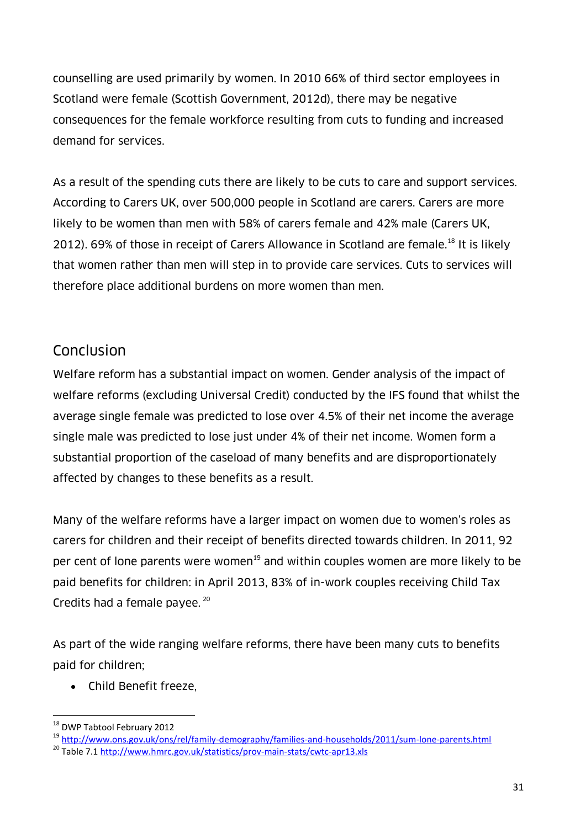counselling are used primarily by women. In 2010 66% of third sector employees in Scotland were female (Scottish Government, 2012d), there may be negative consequences for the female workforce resulting from cuts to funding and increased demand for services.

As a result of the spending cuts there are likely to be cuts to care and support services. According to Carers UK, over 500,000 people in Scotland are carers. Carers are more likely to be women than men with 58% of carers female and 42% male (Carers UK, 2012). 69% of those in receipt of Carers Allowance in Scotland are female.<sup>18</sup> It is likely that women rather than men will step in to provide care services. Cuts to services will therefore place additional burdens on more women than men.

# Conclusion

Welfare reform has a substantial impact on women. Gender analysis of the impact of welfare reforms (excluding Universal Credit) conducted by the IFS found that whilst the average single female was predicted to lose over 4.5% of their net income the average single male was predicted to lose just under 4% of their net income. Women form a substantial proportion of the caseload of many benefits and are disproportionately affected by changes to these benefits as a result.

Many of the welfare reforms have a larger impact on women due to women's roles as carers for children and their receipt of benefits directed towards children. In 2011, 92 per cent of lone parents were women<sup>19</sup> and within couples women are more likely to be paid benefits for children: in April 2013, 83% of in-work couples receiving Child Tax Credits had a female payee. 20

As part of the wide ranging welfare reforms, there have been many cuts to benefits paid for children;

Child Benefit freeze,

 $\overline{a}$ <sup>18</sup> DWP Tabtool February 2012

<sup>19</sup> <http://www.ons.gov.uk/ons/rel/family-demography/families-and-households/2011/sum-lone-parents.html>

<sup>&</sup>lt;sup>20</sup> Table 7.1<http://www.hmrc.gov.uk/statistics/prov-main-stats/cwtc-apr13.xls>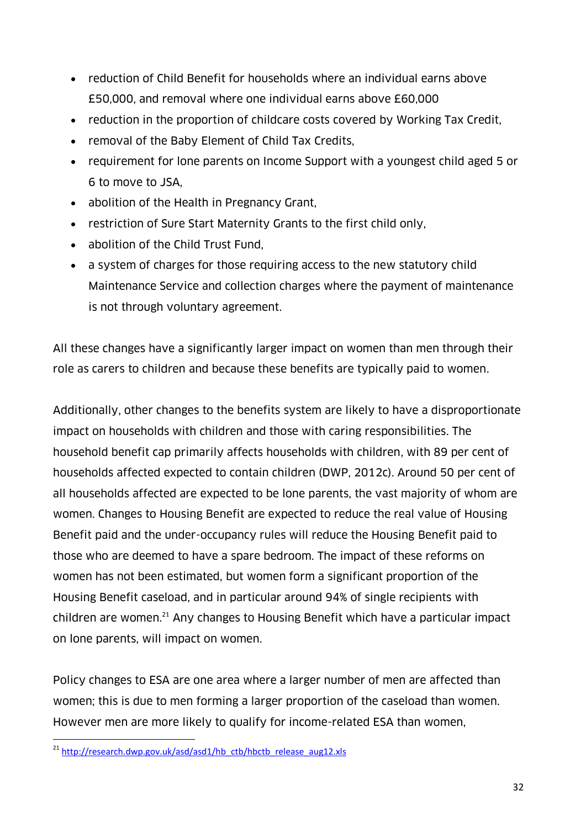- reduction of Child Benefit for households where an individual earns above £50,000, and removal where one individual earns above £60,000
- reduction in the proportion of childcare costs covered by Working Tax Credit,
- removal of the Baby Element of Child Tax Credits,
- requirement for lone parents on Income Support with a youngest child aged 5 or 6 to move to JSA,
- abolition of the Health in Pregnancy Grant,
- restriction of Sure Start Maternity Grants to the first child only,
- abolition of the Child Trust Fund,
- a system of charges for those requiring access to the new statutory child Maintenance Service and collection charges where the payment of maintenance is not through voluntary agreement.

All these changes have a significantly larger impact on women than men through their role as carers to children and because these benefits are typically paid to women.

Additionally, other changes to the benefits system are likely to have a disproportionate impact on households with children and those with caring responsibilities. The household benefit cap primarily affects households with children, with 89 per cent of households affected expected to contain children (DWP, 2012c). Around 50 per cent of all households affected are expected to be lone parents, the vast majority of whom are women. Changes to Housing Benefit are expected to reduce the real value of Housing Benefit paid and the under-occupancy rules will reduce the Housing Benefit paid to those who are deemed to have a spare bedroom. The impact of these reforms on women has not been estimated, but women form a significant proportion of the Housing Benefit caseload, and in particular around 94% of single recipients with children are women.<sup>21</sup> Any changes to Housing Benefit which have a particular impact on lone parents, will impact on women.

Policy changes to ESA are one area where a larger number of men are affected than women; this is due to men forming a larger proportion of the caseload than women. However men are more likely to qualify for income-related ESA than women,

 $\overline{a}$ 

<sup>&</sup>lt;sup>21</sup> [http://research.dwp.gov.uk/asd/asd1/hb\\_ctb/hbctb\\_release\\_aug12.xls](http://research.dwp.gov.uk/asd/asd1/hb_ctb/hbctb_release_aug12.xls)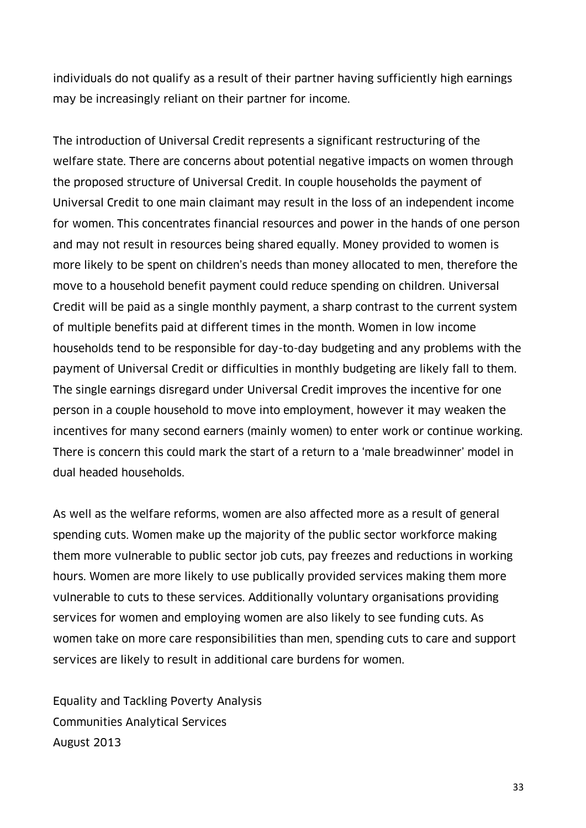individuals do not qualify as a result of their partner having sufficiently high earnings may be increasingly reliant on their partner for income.

The introduction of Universal Credit represents a significant restructuring of the welfare state. There are concerns about potential negative impacts on women through the proposed structure of Universal Credit. In couple households the payment of Universal Credit to one main claimant may result in the loss of an independent income for women. This concentrates financial resources and power in the hands of one person and may not result in resources being shared equally. Money provided to women is more likely to be spent on children's needs than money allocated to men, therefore the move to a household benefit payment could reduce spending on children. Universal Credit will be paid as a single monthly payment, a sharp contrast to the current system of multiple benefits paid at different times in the month. Women in low income households tend to be responsible for day-to-day budgeting and any problems with the payment of Universal Credit or difficulties in monthly budgeting are likely fall to them. The single earnings disregard under Universal Credit improves the incentive for one person in a couple household to move into employment, however it may weaken the incentives for many second earners (mainly women) to enter work or continue working. There is concern this could mark the start of a return to a 'male breadwinner' model in dual headed households.

As well as the welfare reforms, women are also affected more as a result of general spending cuts. Women make up the majority of the public sector workforce making them more vulnerable to public sector job cuts, pay freezes and reductions in working hours. Women are more likely to use publically provided services making them more vulnerable to cuts to these services. Additionally voluntary organisations providing services for women and employing women are also likely to see funding cuts. As women take on more care responsibilities than men, spending cuts to care and support services are likely to result in additional care burdens for women.

Equality and Tackling Poverty Analysis Communities Analytical Services August 2013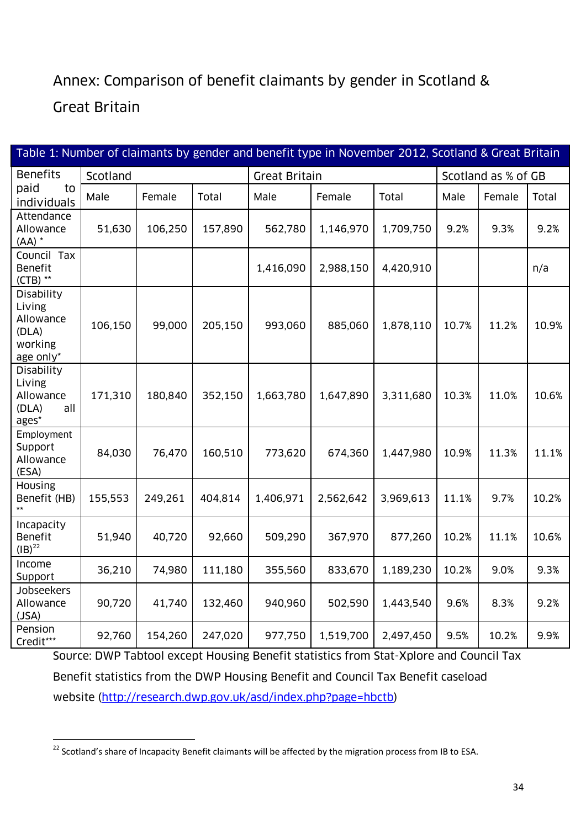# Annex: Comparison of benefit claimants by gender in Scotland &

### Great Britain

| Table 1: Number of claimants by gender and benefit type in November 2012, Scotland & Great Britain |          |         |         |                      |           |           |                     |        |       |
|----------------------------------------------------------------------------------------------------|----------|---------|---------|----------------------|-----------|-----------|---------------------|--------|-------|
| <b>Benefits</b>                                                                                    | Scotland |         |         | <b>Great Britain</b> |           |           | Scotland as % of GB |        |       |
| paid<br>to<br>individuals                                                                          | Male     | Female  | Total   | Male                 | Female    | Total     | Male                | Female | Total |
| Attendance<br>Allowance<br>$(AA)$ *                                                                | 51,630   | 106,250 | 157,890 | 562,780              | 1,146,970 | 1,709,750 | 9.2%                | 9.3%   | 9.2%  |
| Council Tax<br><b>Benefit</b><br>$(CTB)$ **                                                        |          |         |         | 1,416,090            | 2,988,150 | 4,420,910 |                     |        | n/a   |
| Disability<br>Living<br>Allowance<br>(DLA)<br>working<br>age only*                                 | 106,150  | 99,000  | 205,150 | 993,060              | 885,060   | 1,878,110 | 10.7%               | 11.2%  | 10.9% |
| Disability<br>Living<br>Allowance<br>(DLA)<br>all<br>ages*                                         | 171,310  | 180,840 | 352,150 | 1,663,780            | 1,647,890 | 3,311,680 | 10.3%               | 11.0%  | 10.6% |
| Employment<br>Support<br>Allowance<br>(ESA)                                                        | 84,030   | 76,470  | 160,510 | 773,620              | 674,360   | 1,447,980 | 10.9%               | 11.3%  | 11.1% |
| Housing<br>Benefit (HB)<br>$\star\star$                                                            | 155,553  | 249,261 | 404,814 | 1,406,971            | 2,562,642 | 3,969,613 | 11.1%               | 9.7%   | 10.2% |
| Incapacity<br><b>Benefit</b><br>$(IB)^{22}$                                                        | 51,940   | 40,720  | 92,660  | 509,290              | 367,970   | 877,260   | 10.2%               | 11.1%  | 10.6% |
| Income<br>Support                                                                                  | 36,210   | 74,980  | 111,180 | 355,560              | 833,670   | 1,189,230 | 10.2%               | 9.0%   | 9.3%  |
| Jobseekers<br>Allowance<br>(JSA)                                                                   | 90,720   | 41,740  | 132,460 | 940,960              | 502,590   | 1,443,540 | 9.6%                | 8.3%   | 9.2%  |
| Pension<br>Credit***                                                                               | 92,760   | 154,260 | 247,020 | 977,750              | 1,519,700 | 2,497,450 | 9.5%                | 10.2%  | 9.9%  |

Source: DWP Tabtool except Housing Benefit statistics from Stat-Xplore and Council Tax Benefit statistics from the DWP Housing Benefit and Council Tax Benefit caseload website [\(http://research.dwp.gov.uk/asd/index.php?page=hbctb\)](http://research.dwp.gov.uk/asd/index.php?page=hbctb)

 $\overline{a}$  $^{22}$  Scotland's share of Incapacity Benefit claimants will be affected by the migration process from IB to ESA.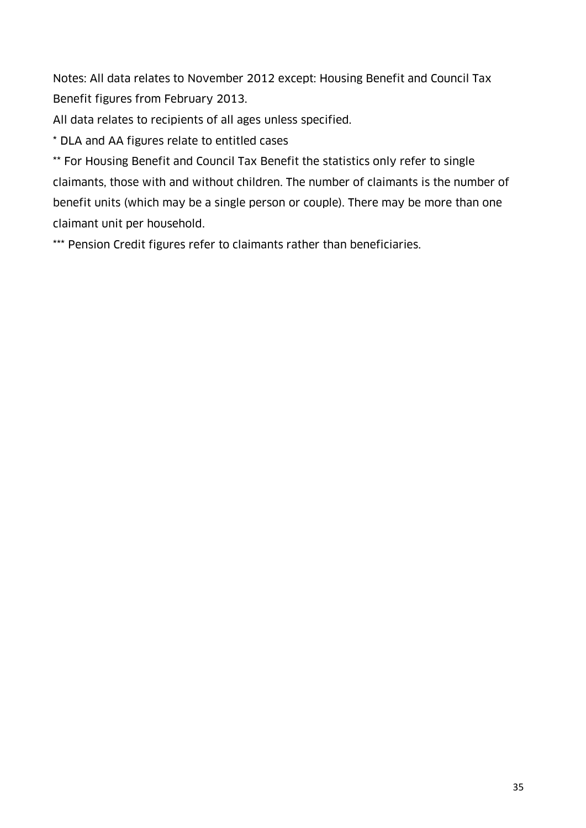Notes: All data relates to November 2012 except: Housing Benefit and Council Tax Benefit figures from February 2013.

All data relates to recipients of all ages unless specified.

\* DLA and AA figures relate to entitled cases

\*\* For Housing Benefit and Council Tax Benefit the statistics only refer to single claimants, those with and without children. The number of claimants is the number of benefit units (which may be a single person or couple). There may be more than one claimant unit per household.

\*\*\* Pension Credit figures refer to claimants rather than beneficiaries.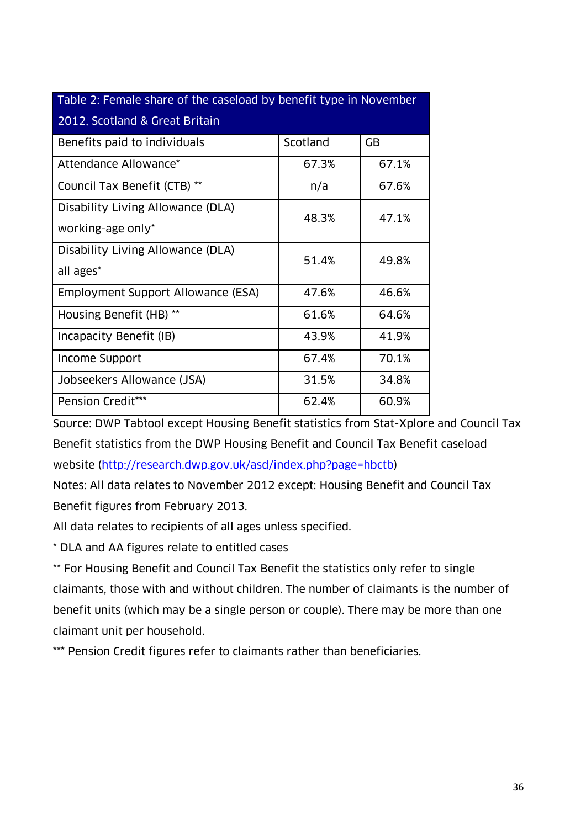| Table 2: Female share of the caseload by benefit type in November |          |       |  |  |  |  |
|-------------------------------------------------------------------|----------|-------|--|--|--|--|
| 2012, Scotland & Great Britain                                    |          |       |  |  |  |  |
| Benefits paid to individuals                                      | Scotland | GB    |  |  |  |  |
| Attendance Allowance*                                             | 67.3%    | 67.1% |  |  |  |  |
| Council Tax Benefit (CTB) **                                      | n/a      | 67.6% |  |  |  |  |
| Disability Living Allowance (DLA)                                 | 48.3%    | 47.1% |  |  |  |  |
| working-age only*                                                 |          |       |  |  |  |  |
| Disability Living Allowance (DLA)                                 | 51.4%    | 49.8% |  |  |  |  |
| all ages*                                                         |          |       |  |  |  |  |
| Employment Support Allowance (ESA)                                | 47.6%    | 46.6% |  |  |  |  |
| Housing Benefit (HB) **                                           | 61.6%    | 64.6% |  |  |  |  |
| Incapacity Benefit (IB)                                           | 43.9%    | 41.9% |  |  |  |  |
| Income Support                                                    | 67.4%    | 70.1% |  |  |  |  |
| Jobseekers Allowance (JSA)                                        | 31.5%    | 34.8% |  |  |  |  |
| Pension Credit***                                                 | 62.4%    | 60.9% |  |  |  |  |

Source: DWP Tabtool except Housing Benefit statistics from Stat-Xplore and Council Tax Benefit statistics from the DWP Housing Benefit and Council Tax Benefit caseload website [\(http://research.dwp.gov.uk/asd/index.php?page=hbctb\)](http://research.dwp.gov.uk/asd/index.php?page=hbctb)

Notes: All data relates to November 2012 except: Housing Benefit and Council Tax Benefit figures from February 2013.

All data relates to recipients of all ages unless specified.

\* DLA and AA figures relate to entitled cases

\*\* For Housing Benefit and Council Tax Benefit the statistics only refer to single claimants, those with and without children. The number of claimants is the number of benefit units (which may be a single person or couple). There may be more than one claimant unit per household.

\*\*\* Pension Credit figures refer to claimants rather than beneficiaries.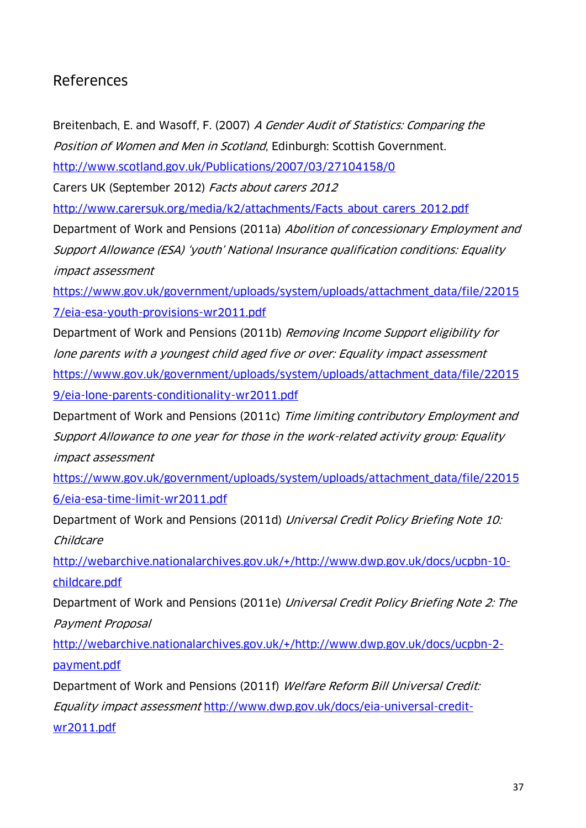#### References

Breitenbach, E. and Wasoff, F. (2007) A Gender Audit of Statistics: Comparing the Position of Women and Men in Scotland, Edinburgh: Scottish Government.

<http://www.scotland.gov.uk/Publications/2007/03/27104158/0>

Carers UK (September 2012) Facts about carers 2012

[http://www.carersuk.org/media/k2/attachments/Facts\\_about\\_carers\\_2012.pdf](http://www.carersuk.org/media/k2/attachments/Facts_about_carers_2012.pdf)

Department of Work and Pensions (2011a) Abolition of concessionary Employment and Support Allowance (ESA) 'youth' National Insurance qualification conditions: Equality impact assessment

[https://www.gov.uk/government/uploads/system/uploads/attachment\\_data/file/22015](https://www.gov.uk/government/uploads/system/uploads/attachment_data/file/220157/eia-esa-youth-provisions-wr2011.pdf) [7/eia-esa-youth-provisions-wr2011.pdf](https://www.gov.uk/government/uploads/system/uploads/attachment_data/file/220157/eia-esa-youth-provisions-wr2011.pdf)

Department of Work and Pensions (2011b) Removing Income Support eligibility for lone parents with a youngest child aged five or over: Equality impact assessment [https://www.gov.uk/government/uploads/system/uploads/attachment\\_data/file/22015](https://www.gov.uk/government/uploads/system/uploads/attachment_data/file/220159/eia-lone-parents-conditionality-wr2011.pdf) [9/eia-lone-parents-conditionality-wr2011.pdf](https://www.gov.uk/government/uploads/system/uploads/attachment_data/file/220159/eia-lone-parents-conditionality-wr2011.pdf)

Department of Work and Pensions (2011c) Time limiting contributory Employment and Support Allowance to one year for those in the work-related activity group: Equality impact assessment

[https://www.gov.uk/government/uploads/system/uploads/attachment\\_data/file/22015](https://www.gov.uk/government/uploads/system/uploads/attachment_data/file/220156/eia-esa-time-limit-wr2011.pdf) [6/eia-esa-time-limit-wr2011.pdf](https://www.gov.uk/government/uploads/system/uploads/attachment_data/file/220156/eia-esa-time-limit-wr2011.pdf)

Department of Work and Pensions (2011d) Universal Credit Policy Briefing Note 10: Childcare

[http://webarchive.nationalarchives.gov.uk/+/http://www.dwp.gov.uk/docs/ucpbn-10](http://webarchive.nationalarchives.gov.uk/+/http:/www.dwp.gov.uk/docs/ucpbn-10-childcare.pdf) [childcare.pdf](http://webarchive.nationalarchives.gov.uk/+/http:/www.dwp.gov.uk/docs/ucpbn-10-childcare.pdf)

Department of Work and Pensions (2011e) Universal Credit Policy Briefing Note 2: The Payment Proposal

[http://webarchive.nationalarchives.gov.uk/+/http://www.dwp.gov.uk/docs/ucpbn-2](http://webarchive.nationalarchives.gov.uk/+/http:/www.dwp.gov.uk/docs/ucpbn-2-payment.pdf) [payment.pdf](http://webarchive.nationalarchives.gov.uk/+/http:/www.dwp.gov.uk/docs/ucpbn-2-payment.pdf)

Department of Work and Pensions (2011f) Welfare Reform Bill Universal Credit: Equality impact assessment [http://www.dwp.gov.uk/docs/eia-universal-credit](http://www.dwp.gov.uk/docs/eia-universal-credit-wr2011.pdf)[wr2011.pdf](http://www.dwp.gov.uk/docs/eia-universal-credit-wr2011.pdf)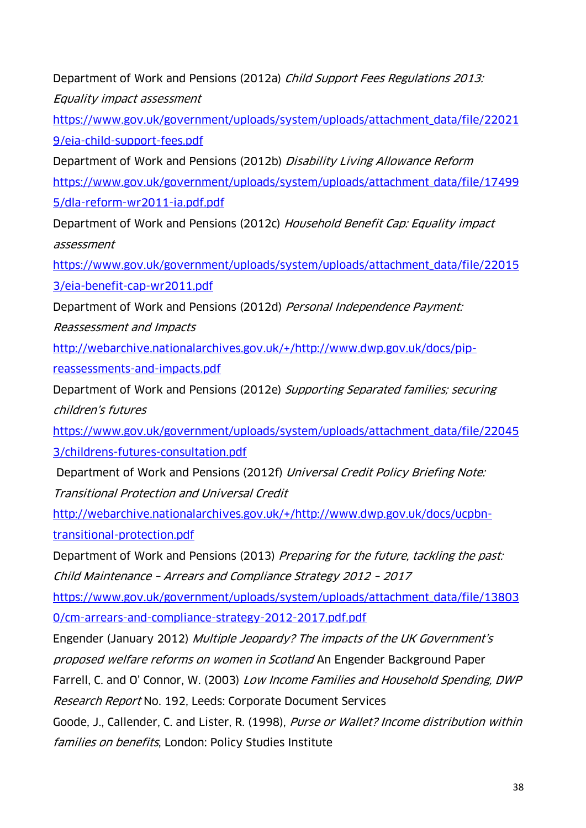Department of Work and Pensions (2012a) Child Support Fees Regulations 2013: Equality impact assessment

[https://www.gov.uk/government/uploads/system/uploads/attachment\\_data/file/22021](https://www.gov.uk/government/uploads/system/uploads/attachment_data/file/220219/eia-child-support-fees.pdf) [9/eia-child-support-fees.pdf](https://www.gov.uk/government/uploads/system/uploads/attachment_data/file/220219/eia-child-support-fees.pdf)

Department of Work and Pensions (2012b) Disability Living Allowance Reform [https://www.gov.uk/government/uploads/system/uploads/attachment\\_data/file/17499](https://www.gov.uk/government/uploads/system/uploads/attachment_data/file/174995/dla-reform-wr2011-ia.pdf.pdf) [5/dla-reform-wr2011-ia.pdf.pdf](https://www.gov.uk/government/uploads/system/uploads/attachment_data/file/174995/dla-reform-wr2011-ia.pdf.pdf)

Department of Work and Pensions (2012c) Household Benefit Cap: Equality impact assessment

[https://www.gov.uk/government/uploads/system/uploads/attachment\\_data/file/22015](https://www.gov.uk/government/uploads/system/uploads/attachment_data/file/220153/eia-benefit-cap-wr2011.pdf) [3/eia-benefit-cap-wr2011.pdf](https://www.gov.uk/government/uploads/system/uploads/attachment_data/file/220153/eia-benefit-cap-wr2011.pdf)

Department of Work and Pensions (2012d) Personal Independence Payment:

Reassessment and Impacts

[http://webarchive.nationalarchives.gov.uk/+/http://www.dwp.gov.uk/docs/pip](http://webarchive.nationalarchives.gov.uk/+/http:/www.dwp.gov.uk/docs/pip-reassessments-and-impacts.pdf)[reassessments-and-impacts.pdf](http://webarchive.nationalarchives.gov.uk/+/http:/www.dwp.gov.uk/docs/pip-reassessments-and-impacts.pdf)

Department of Work and Pensions (2012e) Supporting Separated families; securing children's futures

[https://www.gov.uk/government/uploads/system/uploads/attachment\\_data/file/22045](https://www.gov.uk/government/uploads/system/uploads/attachment_data/file/220453/childrens-futures-consultation.pdf)

[3/childrens-futures-consultation.pdf](https://www.gov.uk/government/uploads/system/uploads/attachment_data/file/220453/childrens-futures-consultation.pdf)

Department of Work and Pensions (2012f) Universal Credit Policy Briefing Note: Transitional Protection and Universal Credit

[http://webarchive.nationalarchives.gov.uk/+/http://www.dwp.gov.uk/docs/ucpbn](http://webarchive.nationalarchives.gov.uk/+/http:/www.dwp.gov.uk/docs/ucpbn-transitional-protection.pdf)[transitional-protection.pdf](http://webarchive.nationalarchives.gov.uk/+/http:/www.dwp.gov.uk/docs/ucpbn-transitional-protection.pdf)

Department of Work and Pensions (2013) Preparing for the future, tackling the past: Child Maintenance – Arrears and Compliance Strategy 2012 – 2017

[https://www.gov.uk/government/uploads/system/uploads/attachment\\_data/file/13803](https://www.gov.uk/government/uploads/system/uploads/attachment_data/file/138030/cm-arrears-and-compliance-strategy-2012-2017.pdf.pdf)

[0/cm-arrears-and-compliance-strategy-2012-2017.pdf.pdf](https://www.gov.uk/government/uploads/system/uploads/attachment_data/file/138030/cm-arrears-and-compliance-strategy-2012-2017.pdf.pdf)

Engender (January 2012) Multiple Jeopardy? The impacts of the UK Government's proposed welfare reforms on women in Scotland An Engender Background Paper

Farrell, C. and O' Connor, W. (2003) Low Income Families and Household Spending, DWP Research Report No. 192, Leeds: Corporate Document Services

Goode, J., Callender, C. and Lister, R. (1998), Purse or Wallet? Income distribution within families on benefits, London: Policy Studies Institute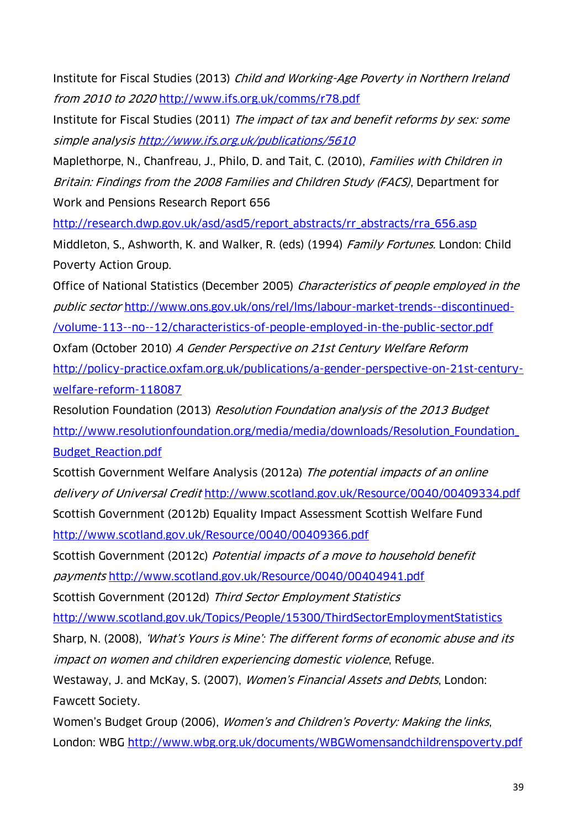Institute for Fiscal Studies (2013) Child and Working-Age Poverty in Northern Ireland from 2010 to 2020 <http://www.ifs.org.uk/comms/r78.pdf>

Institute for Fiscal Studies (2011) The impact of tax and benefit reforms by sex: some simple analysis <http://www.ifs.org.uk/publications/5610>

Maplethorpe, N., Chanfreau, J., Philo, D. and Tait, C. (2010), Families with Children in Britain: Findings from the 2008 Families and Children Study (FACS), Department for Work and Pensions Research Report 656

[http://research.dwp.gov.uk/asd/asd5/report\\_abstracts/rr\\_abstracts/rra\\_656.asp](http://research.dwp.gov.uk/asd/asd5/report_abstracts/rr_abstracts/rra_656.asp) Middleton, S., Ashworth, K. and Walker, R. (eds) (1994) *Family Fortunes.* London: Child Poverty Action Group.

Office of National Statistics (December 2005) Characteristics of people employed in the public sector [http://www.ons.gov.uk/ons/rel/lms/labour-market-trends--discontinued-](http://www.ons.gov.uk/ons/rel/lms/labour-market-trends--discontinued-/volume-113--no--12/characteristics-of-people-employed-in-the-public-sector.pdf) [/volume-113--no--12/characteristics-of-people-employed-in-the-public-sector.pdf](http://www.ons.gov.uk/ons/rel/lms/labour-market-trends--discontinued-/volume-113--no--12/characteristics-of-people-employed-in-the-public-sector.pdf) Oxfam (October 2010) A Gender Perspective on 21st Century Welfare Reform [http://policy-practice.oxfam.org.uk/publications/a-gender-perspective-on-21st-century](http://policy-practice.oxfam.org.uk/publications/a-gender-perspective-on-21st-century-welfare-reform-118087)[welfare-reform-118087](http://policy-practice.oxfam.org.uk/publications/a-gender-perspective-on-21st-century-welfare-reform-118087)

Resolution Foundation (2013) Resolution Foundation analysis of the 2013 Budget [http://www.resolutionfoundation.org/media/media/downloads/Resolution\\_Foundation\\_](http://www.resolutionfoundation.org/media/media/downloads/Resolution_Foundation_Budget_Reaction.pdf) [Budget\\_Reaction.pdf](http://www.resolutionfoundation.org/media/media/downloads/Resolution_Foundation_Budget_Reaction.pdf)

Scottish Government Welfare Analysis (2012a) The potential impacts of an online delivery of Universal Credit <http://www.scotland.gov.uk/Resource/0040/00409334.pdf> Scottish Government (2012b) Equality Impact Assessment Scottish Welfare Fund <http://www.scotland.gov.uk/Resource/0040/00409366.pdf>

Scottish Government (2012c) Potential impacts of a move to household benefit payments <http://www.scotland.gov.uk/Resource/0040/00404941.pdf>

Scottish Government (2012d) Third Sector Employment Statistics

<http://www.scotland.gov.uk/Topics/People/15300/ThirdSectorEmploymentStatistics>

Sharp, N. (2008), 'What's Yours is Mine': The different forms of economic abuse and its impact on women and children experiencing domestic violence, Refuge.

Westaway, J. and McKay, S. (2007), Women's Financial Assets and Debts, London: Fawcett Society.

Women's Budget Group (2006), Women's and Children's Poverty: Making the links, London: WBG <http://www.wbg.org.uk/documents/WBGWomensandchildrenspoverty.pdf>